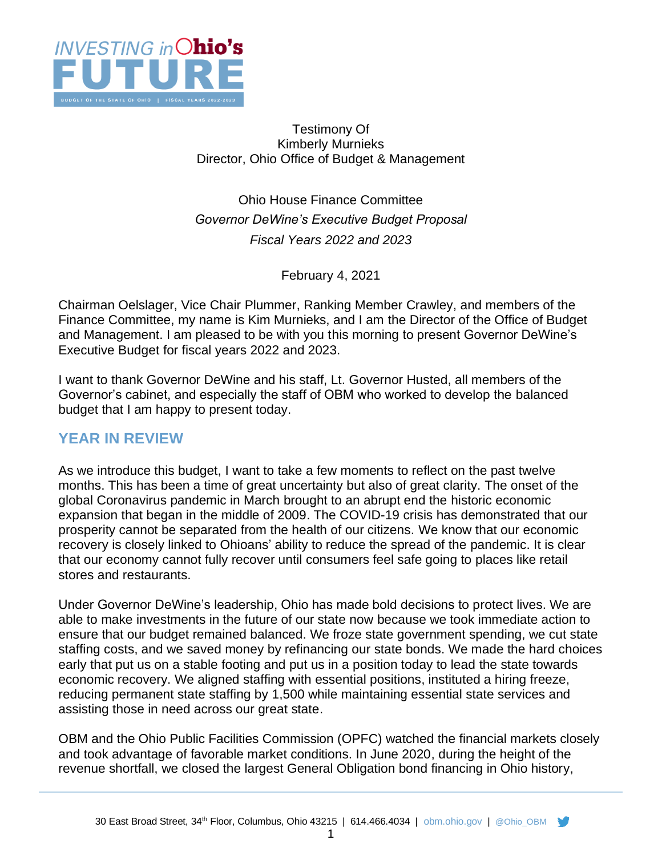

#### Testimony Of Kimberly Murnieks Director, Ohio Office of Budget & Management

Ohio House Finance Committee *Governor DeWine's Executive Budget Proposal Fiscal Years 2022 and 2023*

February 4, 2021

Chairman Oelslager, Vice Chair Plummer, Ranking Member Crawley, and members of the Finance Committee, my name is Kim Murnieks, and I am the Director of the Office of Budget and Management. I am pleased to be with you this morning to present Governor DeWine's Executive Budget for fiscal years 2022 and 2023.

I want to thank Governor DeWine and his staff, Lt. Governor Husted, all members of the Governor's cabinet, and especially the staff of OBM who worked to develop the balanced budget that I am happy to present today.

# **YEAR IN REVIEW**

As we introduce this budget, I want to take a few moments to reflect on the past twelve months. This has been a time of great uncertainty but also of great clarity. The onset of the global Coronavirus pandemic in March brought to an abrupt end the historic economic expansion that began in the middle of 2009. The COVID-19 crisis has demonstrated that our prosperity cannot be separated from the health of our citizens. We know that our economic recovery is closely linked to Ohioans' ability to reduce the spread of the pandemic. It is clear that our economy cannot fully recover until consumers feel safe going to places like retail stores and restaurants.

Under Governor DeWine's leadership, Ohio has made bold decisions to protect lives. We are able to make investments in the future of our state now because we took immediate action to ensure that our budget remained balanced. We froze state government spending, we cut state staffing costs, and we saved money by refinancing our state bonds. We made the hard choices early that put us on a stable footing and put us in a position today to lead the state towards economic recovery. We aligned staffing with essential positions, instituted a hiring freeze, reducing permanent state staffing by 1,500 while maintaining essential state services and assisting those in need across our great state.

OBM and the Ohio Public Facilities Commission (OPFC) watched the financial markets closely and took advantage of favorable market conditions. In June 2020, during the height of the revenue shortfall, we closed the largest General Obligation bond financing in Ohio history,

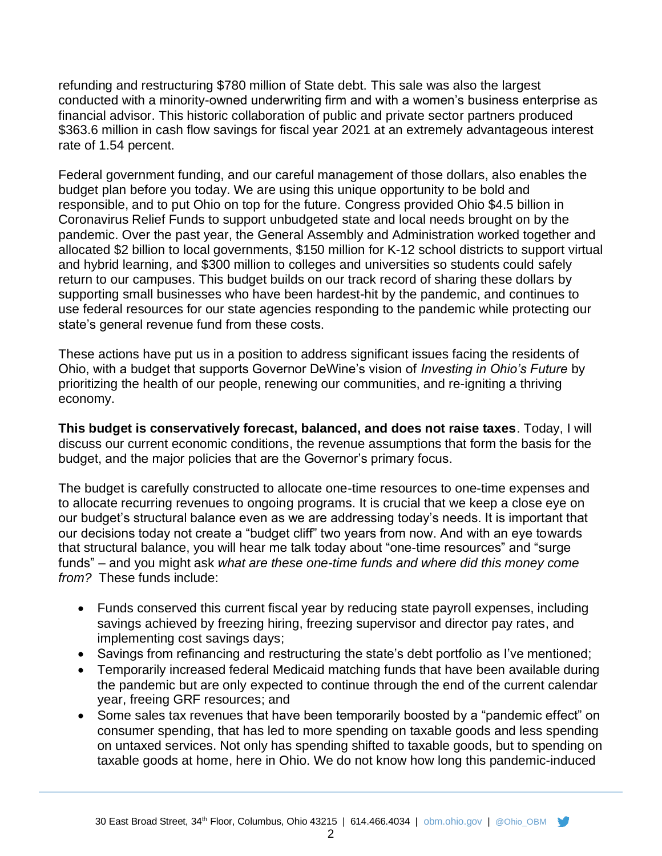refunding and restructuring \$780 million of State debt. This sale was also the largest conducted with a minority-owned underwriting firm and with a women's business enterprise as financial advisor. This historic collaboration of public and private sector partners produced \$363.6 million in cash flow savings for fiscal year 2021 at an extremely advantageous interest rate of 1.54 percent.

Federal government funding, and our careful management of those dollars, also enables the budget plan before you today. We are using this unique opportunity to be bold and responsible, and to put Ohio on top for the future. Congress provided Ohio \$4.5 billion in Coronavirus Relief Funds to support unbudgeted state and local needs brought on by the pandemic. Over the past year, the General Assembly and Administration worked together and allocated \$2 billion to local governments, \$150 million for K-12 school districts to support virtual and hybrid learning, and \$300 million to colleges and universities so students could safely return to our campuses. This budget builds on our track record of sharing these dollars by supporting small businesses who have been hardest-hit by the pandemic, and continues to use federal resources for our state agencies responding to the pandemic while protecting our state's general revenue fund from these costs.

These actions have put us in a position to address significant issues facing the residents of Ohio, with a budget that supports Governor DeWine's vision of *Investing in Ohio's Future* by prioritizing the health of our people, renewing our communities, and re-igniting a thriving economy.

**This budget is conservatively forecast, balanced, and does not raise taxes**. Today, I will discuss our current economic conditions, the revenue assumptions that form the basis for the budget, and the major policies that are the Governor's primary focus.

The budget is carefully constructed to allocate one-time resources to one-time expenses and to allocate recurring revenues to ongoing programs. It is crucial that we keep a close eye on our budget's structural balance even as we are addressing today's needs. It is important that our decisions today not create a "budget cliff" two years from now. And with an eye towards that structural balance, you will hear me talk today about "one-time resources" and "surge funds" – and you might ask *what are these one-time funds and where did this money come from?* These funds include:

- Funds conserved this current fiscal year by reducing state payroll expenses, including savings achieved by freezing hiring, freezing supervisor and director pay rates, and implementing cost savings days;
- Savings from refinancing and restructuring the state's debt portfolio as I've mentioned;
- Temporarily increased federal Medicaid matching funds that have been available during the pandemic but are only expected to continue through the end of the current calendar year, freeing GRF resources; and
- Some sales tax revenues that have been temporarily boosted by a "pandemic effect" on consumer spending, that has led to more spending on taxable goods and less spending on untaxed services. Not only has spending shifted to taxable goods, but to spending on taxable goods at home, here in Ohio. We do not know how long this pandemic-induced

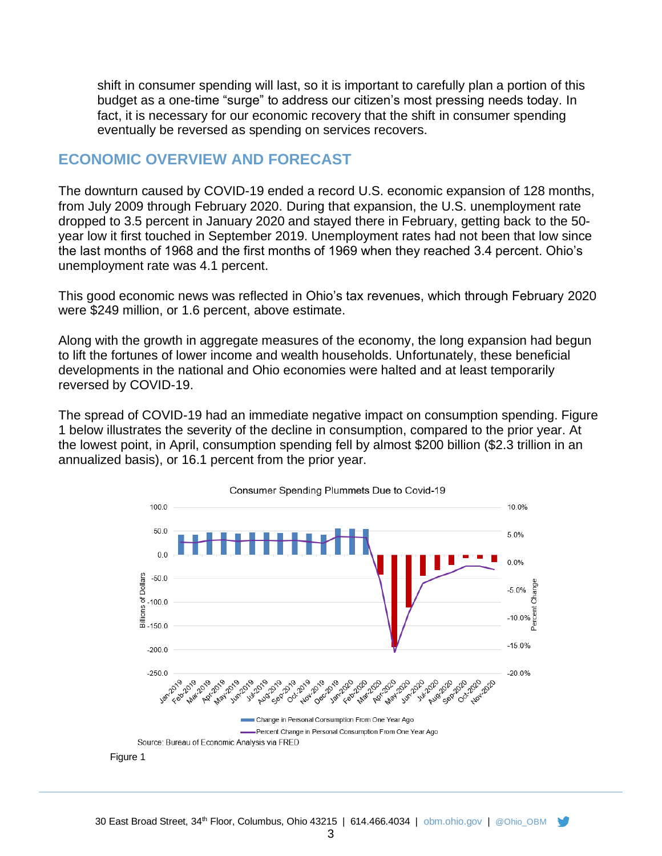shift in consumer spending will last, so it is important to carefully plan a portion of this budget as a one-time "surge" to address our citizen's most pressing needs today. In fact, it is necessary for our economic recovery that the shift in consumer spending eventually be reversed as spending on services recovers.

## **ECONOMIC OVERVIEW AND FORECAST**

The downturn caused by COVID-19 ended a record U.S. economic expansion of 128 months, from July 2009 through February 2020. During that expansion, the U.S. unemployment rate dropped to 3.5 percent in January 2020 and stayed there in February, getting back to the 50 year low it first touched in September 2019. Unemployment rates had not been that low since the last months of 1968 and the first months of 1969 when they reached 3.4 percent. Ohio's unemployment rate was 4.1 percent.

This good economic news was reflected in Ohio's tax revenues, which through February 2020 were \$249 million, or 1.6 percent, above estimate.

Along with the growth in aggregate measures of the economy, the long expansion had begun to lift the fortunes of lower income and wealth households. Unfortunately, these beneficial developments in the national and Ohio economies were halted and at least temporarily reversed by COVID-19.

The spread of COVID-19 had an immediate negative impact on consumption spending. Figure 1 below illustrates the severity of the decline in consumption, compared to the prior year. At the lowest point, in April, consumption spending fell by almost \$200 billion (\$2.3 trillion in an annualized basis), or 16.1 percent from the prior year.

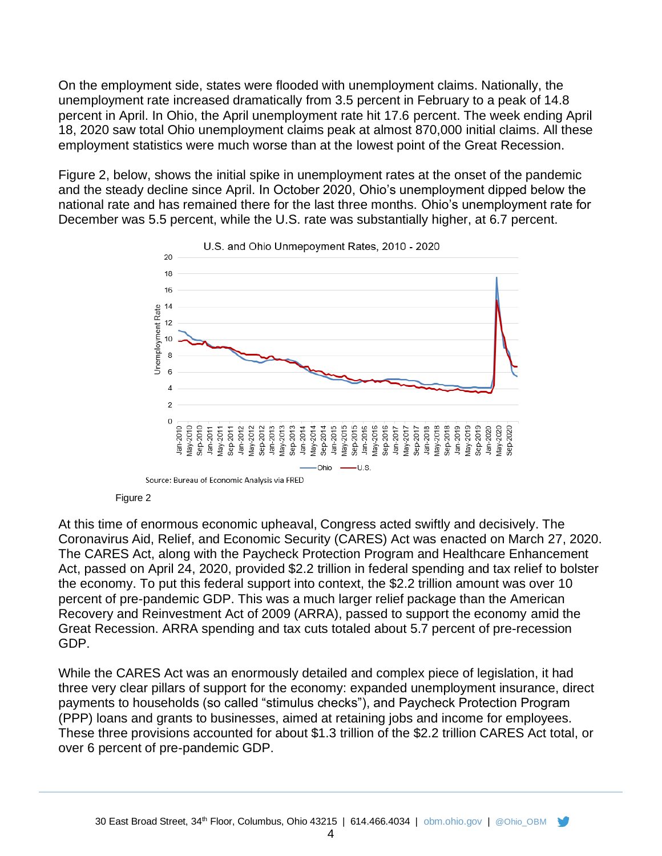On the employment side, states were flooded with unemployment claims. Nationally, the unemployment rate increased dramatically from 3.5 percent in February to a peak of 14.8 percent in April. In Ohio, the April unemployment rate hit 17.6 percent. The week ending April 18, 2020 saw total Ohio unemployment claims peak at almost 870,000 initial claims. All these employment statistics were much worse than at the lowest point of the Great Recession.

Figure 2, below, shows the initial spike in unemployment rates at the onset of the pandemic and the steady decline since April. In October 2020, Ohio's unemployment dipped below the national rate and has remained there for the last three months. Ohio's unemployment rate for December was 5.5 percent, while the U.S. rate was substantially higher, at 6.7 percent.





At this time of enormous economic upheaval, Congress acted swiftly and decisively. The Coronavirus Aid, Relief, and Economic Security (CARES) Act was enacted on March 27, 2020. The CARES Act, along with the Paycheck Protection Program and Healthcare Enhancement Act, passed on April 24, 2020, provided \$2.2 trillion in federal spending and tax relief to bolster the economy. To put this federal support into context, the \$2.2 trillion amount was over 10 percent of pre-pandemic GDP. This was a much larger relief package than the American Recovery and Reinvestment Act of 2009 (ARRA), passed to support the economy amid the Great Recession. ARRA spending and tax cuts totaled about 5.7 percent of pre-recession GDP.

While the CARES Act was an enormously detailed and complex piece of legislation, it had three very clear pillars of support for the economy: expanded unemployment insurance, direct payments to households (so called "stimulus checks"), and Paycheck Protection Program (PPP) loans and grants to businesses, aimed at retaining jobs and income for employees. These three provisions accounted for about \$1.3 trillion of the \$2.2 trillion CARES Act total, or over 6 percent of pre-pandemic GDP.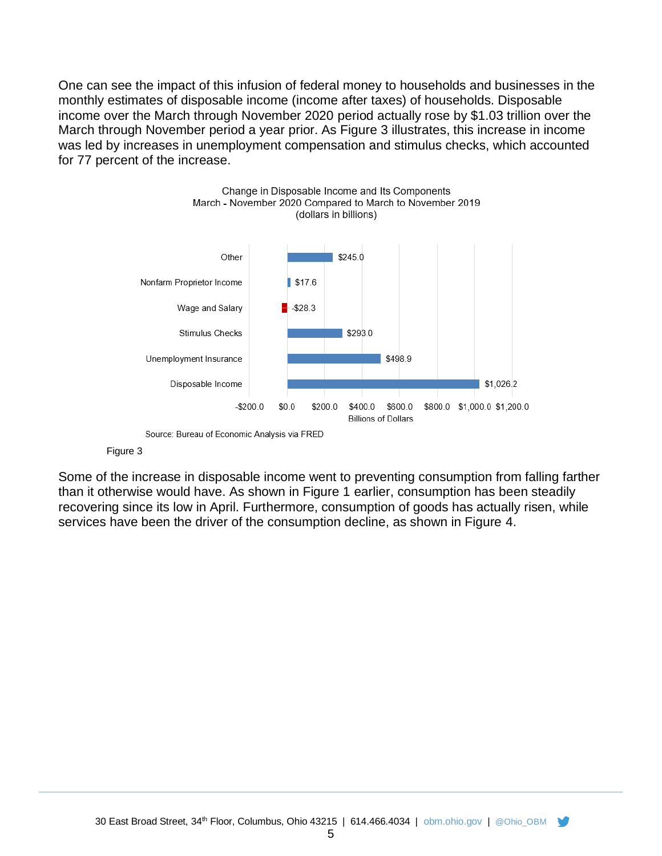One can see the impact of this infusion of federal money to households and businesses in the monthly estimates of disposable income (income after taxes) of households. Disposable income over the March through November 2020 period actually rose by \$1.03 trillion over the March through November period a year prior. As Figure 3 illustrates, this increase in income was led by increases in unemployment compensation and stimulus checks, which accounted for 77 percent of the increase.



Source: Bureau of Economic Analysis via FRED

#### Figure 3

Some of the increase in disposable income went to preventing consumption from falling farther than it otherwise would have. As shown in Figure 1 earlier, consumption has been steadily recovering since its low in April. Furthermore, consumption of goods has actually risen, while services have been the driver of the consumption decline, as shown in Figure 4.

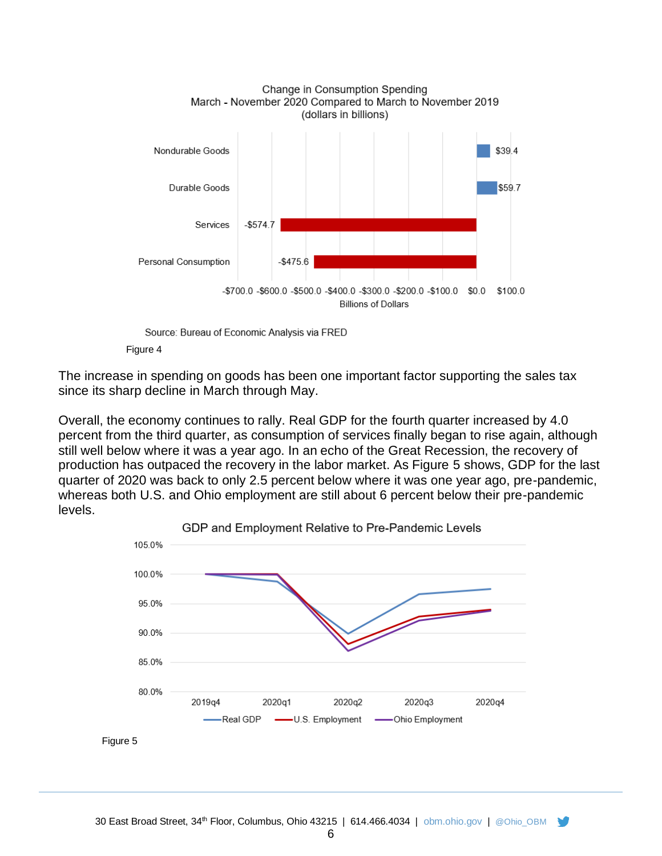

Source: Bureau of Economic Analysis via FRED



The increase in spending on goods has been one important factor supporting the sales tax since its sharp decline in March through May.

Overall, the economy continues to rally. Real GDP for the fourth quarter increased by 4.0 percent from the third quarter, as consumption of services finally began to rise again, although still well below where it was a year ago. In an echo of the Great Recession, the recovery of production has outpaced the recovery in the labor market. As Figure 5 shows, GDP for the last quarter of 2020 was back to only 2.5 percent below where it was one year ago, pre-pandemic, whereas both U.S. and Ohio employment are still about 6 percent below their pre-pandemic levels.



Figure 5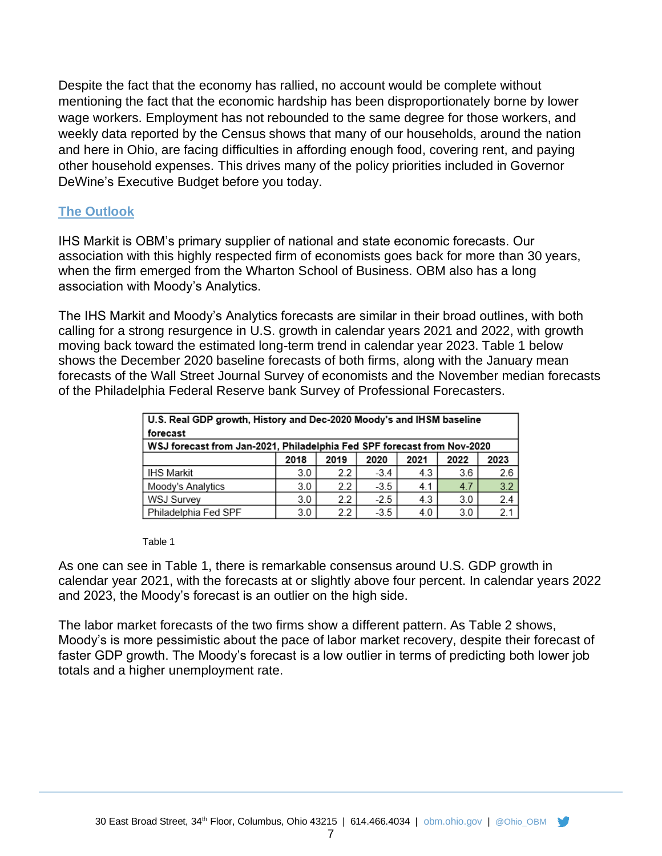Despite the fact that the economy has rallied, no account would be complete without mentioning the fact that the economic hardship has been disproportionately borne by lower wage workers. Employment has not rebounded to the same degree for those workers, and weekly data reported by the Census shows that many of our households, around the nation and here in Ohio, are facing difficulties in affording enough food, covering rent, and paying other household expenses. This drives many of the policy priorities included in Governor DeWine's Executive Budget before you today.

#### **The Outlook**

IHS Markit is OBM's primary supplier of national and state economic forecasts. Our association with this highly respected firm of economists goes back for more than 30 years, when the firm emerged from the Wharton School of Business. OBM also has a long association with Moody's Analytics.

The IHS Markit and Moody's Analytics forecasts are similar in their broad outlines, with both calling for a strong resurgence in U.S. growth in calendar years 2021 and 2022, with growth moving back toward the estimated long-term trend in calendar year 2023. Table 1 below shows the December 2020 baseline forecasts of both firms, along with the January mean forecasts of the Wall Street Journal Survey of economists and the November median forecasts of the Philadelphia Federal Reserve bank Survey of Professional Forecasters.

| U.S. Real GDP growth, History and Dec-2020 Moody's and IHSM baseline    |      |      |        |      |      |      |  |  |  |  |  |
|-------------------------------------------------------------------------|------|------|--------|------|------|------|--|--|--|--|--|
| forecast                                                                |      |      |        |      |      |      |  |  |  |  |  |
| WSJ forecast from Jan-2021, Philadelphia Fed SPF forecast from Nov-2020 |      |      |        |      |      |      |  |  |  |  |  |
|                                                                         | 2018 | 2019 | 2020   | 2021 | 2022 | 2023 |  |  |  |  |  |
| <b>IHS Markit</b>                                                       | 3.0  | 2.2  | $-3.4$ | 4.3  | 3.6  | 2.6  |  |  |  |  |  |
| Moody's Analytics                                                       | 3.0  | 2.2  | $-3.5$ | 4.1  | 4.7  | 3.2  |  |  |  |  |  |
| WSJ Survey                                                              | 3.0  | 2.2  | $-2.5$ | 4.3  | 3.0  | 2.4  |  |  |  |  |  |
| Philadelphia Fed SPF                                                    | 3.0  | 2.2  | $-3.5$ | 4.0  | 3.0  | 2.1  |  |  |  |  |  |

Table 1

As one can see in Table 1, there is remarkable consensus around U.S. GDP growth in calendar year 2021, with the forecasts at or slightly above four percent. In calendar years 2022 and 2023, the Moody's forecast is an outlier on the high side.

The labor market forecasts of the two firms show a different pattern. As Table 2 shows, Moody's is more pessimistic about the pace of labor market recovery, despite their forecast of faster GDP growth. The Moody's forecast is a low outlier in terms of predicting both lower job totals and a higher unemployment rate.

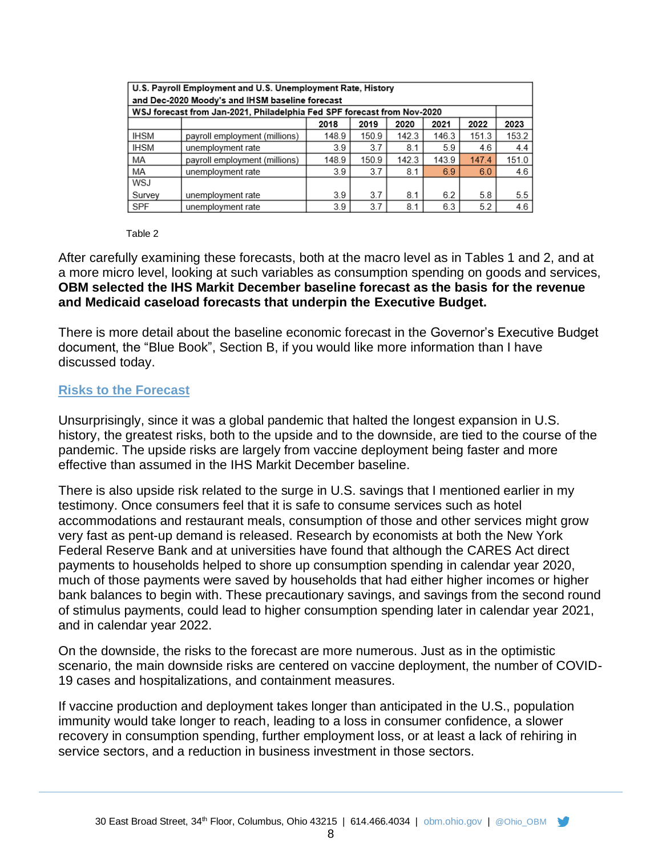| U.S. Payroll Employment and U.S. Unemployment Rate, History<br>and Dec-2020 Moody's and IHSM baseline forecast |                               |       |       |       |       |       |       |  |  |  |  |  |
|----------------------------------------------------------------------------------------------------------------|-------------------------------|-------|-------|-------|-------|-------|-------|--|--|--|--|--|
| WSJ forecast from Jan-2021, Philadelphia Fed SPF forecast from Nov-2020                                        |                               |       |       |       |       |       |       |  |  |  |  |  |
|                                                                                                                |                               | 2018  | 2019  | 2020  | 2021  | 2022  | 2023  |  |  |  |  |  |
| <b>IHSM</b>                                                                                                    | payroll employment (millions) | 148.9 | 150.9 | 142.3 | 146.3 | 151.3 | 153.2 |  |  |  |  |  |
| <b>IHSM</b>                                                                                                    | unemployment rate             | 3.9   | 3.7   | 8.1   | 5.9   | 4.6   | 4.4   |  |  |  |  |  |
| MA                                                                                                             | payroll employment (millions) | 148.9 | 150.9 | 142.3 | 143.9 | 147.4 | 151.0 |  |  |  |  |  |
| MA                                                                                                             | unemployment rate             | 3.9   | 3.7   | 8.1   | 6.9   | 6.0   | 4.6   |  |  |  |  |  |
| WSJ                                                                                                            |                               |       |       |       |       |       |       |  |  |  |  |  |
| Survey                                                                                                         | unemployment rate             | 3.9   | 3.7   | 8.1   | 6.2   | 5.8   | 5.5   |  |  |  |  |  |
| SPF                                                                                                            | unemployment rate             | 3.9   | 3.7   | 8.1   | 6.3   | 5.2   | 4.6   |  |  |  |  |  |

#### Table 2

After carefully examining these forecasts, both at the macro level as in Tables 1 and 2, and at a more micro level, looking at such variables as consumption spending on goods and services, **OBM selected the IHS Markit December baseline forecast as the basis for the revenue and Medicaid caseload forecasts that underpin the Executive Budget.**

There is more detail about the baseline economic forecast in the Governor's Executive Budget document, the "Blue Book", Section B, if you would like more information than I have discussed today.

#### **Risks to the Forecast**

Unsurprisingly, since it was a global pandemic that halted the longest expansion in U.S. history, the greatest risks, both to the upside and to the downside, are tied to the course of the pandemic. The upside risks are largely from vaccine deployment being faster and more effective than assumed in the IHS Markit December baseline.

There is also upside risk related to the surge in U.S. savings that I mentioned earlier in my testimony. Once consumers feel that it is safe to consume services such as hotel accommodations and restaurant meals, consumption of those and other services might grow very fast as pent-up demand is released. Research by economists at both the New York Federal Reserve Bank and at universities have found that although the CARES Act direct payments to households helped to shore up consumption spending in calendar year 2020, much of those payments were saved by households that had either higher incomes or higher bank balances to begin with. These precautionary savings, and savings from the second round of stimulus payments, could lead to higher consumption spending later in calendar year 2021, and in calendar year 2022.

On the downside, the risks to the forecast are more numerous. Just as in the optimistic scenario, the main downside risks are centered on vaccine deployment, the number of COVID-19 cases and hospitalizations, and containment measures.

If vaccine production and deployment takes longer than anticipated in the U.S., population immunity would take longer to reach, leading to a loss in consumer confidence, a slower recovery in consumption spending, further employment loss, or at least a lack of rehiring in service sectors, and a reduction in business investment in those sectors.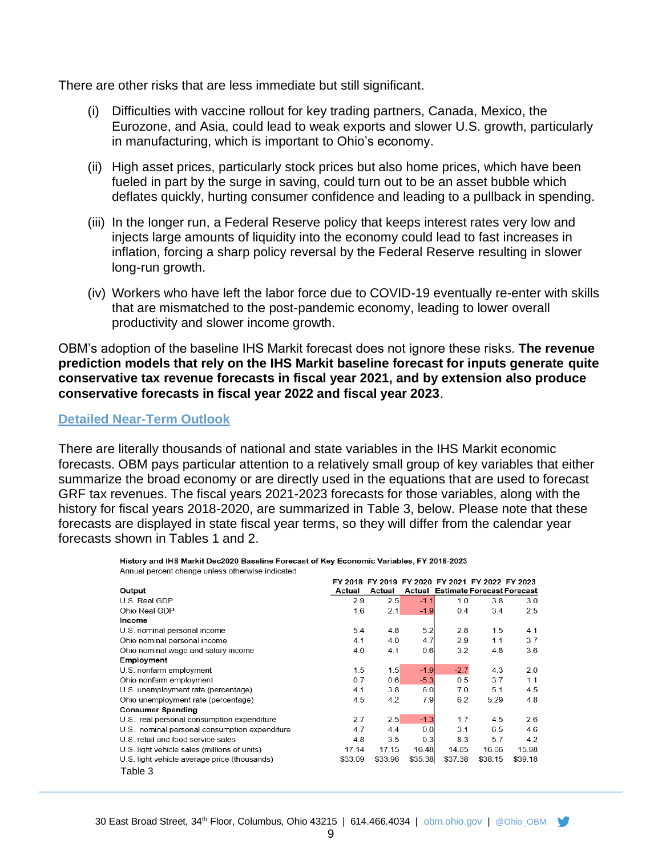There are other risks that are less immediate but still significant.

- (i) Difficulties with vaccine rollout for key trading partners, Canada, Mexico, the Eurozone, and Asia, could lead to weak exports and slower U.S. growth, particularly in manufacturing, which is important to Ohio's economy.
- (ii) High asset prices, particularly stock prices but also home prices, which have been fueled in part by the surge in saving, could turn out to be an asset bubble which deflates quickly, hurting consumer confidence and leading to a pullback in spending.
- (iii) In the longer run, a Federal Reserve policy that keeps interest rates very low and injects large amounts of liquidity into the economy could lead to fast increases in inflation, forcing a sharp policy reversal by the Federal Reserve resulting in slower long-run growth.
- (iv) Workers who have left the labor force due to COVID-19 eventually re-enter with skills that are mismatched to the post-pandemic economy, leading to lower overall productivity and slower income growth.

OBM's adoption of the baseline IHS Markit forecast does not ignore these risks. **The revenue prediction models that rely on the IHS Markit baseline forecast for inputs generate quite conservative tax revenue forecasts in fiscal year 2021, and by extension also produce conservative forecasts in fiscal year 2022 and fiscal year 2023**.

#### **Detailed Near-Term Outlook**

There are literally thousands of national and state variables in the IHS Markit economic forecasts. OBM pays particular attention to a relatively small group of key variables that either summarize the broad economy or are directly used in the equations that are used to forecast GRF tax revenues. The fiscal years 2021-2023 forecasts for those variables, along with the history for fiscal years 2018-2020, are summarized in Table 3, below. Please note that these forecasts are displayed in state fiscal year terms, so they will differ from the calendar year forecasts shown in Tables 1 and 2.

#### History and IHS Markit Dec2020 Baseline Forecast of Key Economic Variables, FY 2018-2023 Annual percent change unless otherwise indicated

|         |                                               |         |         |         | FY 2018 FY 2019 FY 2020 FY 2021 FY 2022 FY 2023 |         |                                          |
|---------|-----------------------------------------------|---------|---------|---------|-------------------------------------------------|---------|------------------------------------------|
| Output  |                                               | Actual  | Actual  |         |                                                 |         | <b>Actual Estimate Forecast Forecast</b> |
|         | U.S. Real GDP                                 | 2.9     | 2.5     | $-1.1$  | 1.0                                             | 3.8     | 3.0                                      |
|         | Ohio Real GDP                                 | 1.6     | 2.1     | $-1.9$  | 0.4                                             | 3.4     | 2.5                                      |
| Income  |                                               |         |         |         |                                                 |         |                                          |
|         | U.S. nominal personal income                  | 5.4     | 4.8     | 5.2     | 2.8                                             | 1.5     | 4.1                                      |
|         | Ohio nominal personal income                  | 4.1     | 4.0     | 4.7     | 2.9                                             | 1.1     | 3.7                                      |
|         | Ohio nominal wage and salary income           | 4.0     | 4.1     | 0.6     | 3.2                                             | 4.8     | 3.6                                      |
|         | Employment                                    |         |         |         |                                                 |         |                                          |
|         | U.S. nonfarm employment                       | 1.5     | 1.5     | $-1.9$  | $-2.7$                                          | 4.3     | 2.0                                      |
|         | Ohio nonfarm employment                       | 0.7     | 0.6     | $-5.3$  | 0.5                                             | 3.7     | 11                                       |
|         | U.S. unemployment rate (percentage)           | 4.1     | 3.8     | 6.0     | 7.0                                             | 5.1     | 4.5                                      |
|         | Ohio unemployment rate (percentage)           | 4.5     | 4.2     | 7.9     | 6.2                                             | 5.29    | 4.8                                      |
|         | <b>Consumer Spending</b>                      |         |         |         |                                                 |         |                                          |
|         | U.S. real personal consumption expenditure    | 2.7     | 2.5     | $-1.3$  | 1.7                                             | 4.5     | 2.6                                      |
|         | U.S. nominal personal consumption expenditure | 4.7     | 4.4     | 0.0     | 3.1                                             | 6.5     | 4.6                                      |
|         | U.S. retail and food service sales            | 4.8     | 3.5     | 0.3     | 8.3                                             | 5.7     | 4.2                                      |
|         | U.S. light vehicle sales (millions of units)  | 17.14   | 17.15   | 16.48   | 14.65                                           | 16.06   | 15.98                                    |
|         | U.S. light vehicle average price (thousands)  | \$33.09 | \$33.96 | \$35.38 | \$37.38                                         | \$38.15 | \$39.18                                  |
| Table 3 |                                               |         |         |         |                                                 |         |                                          |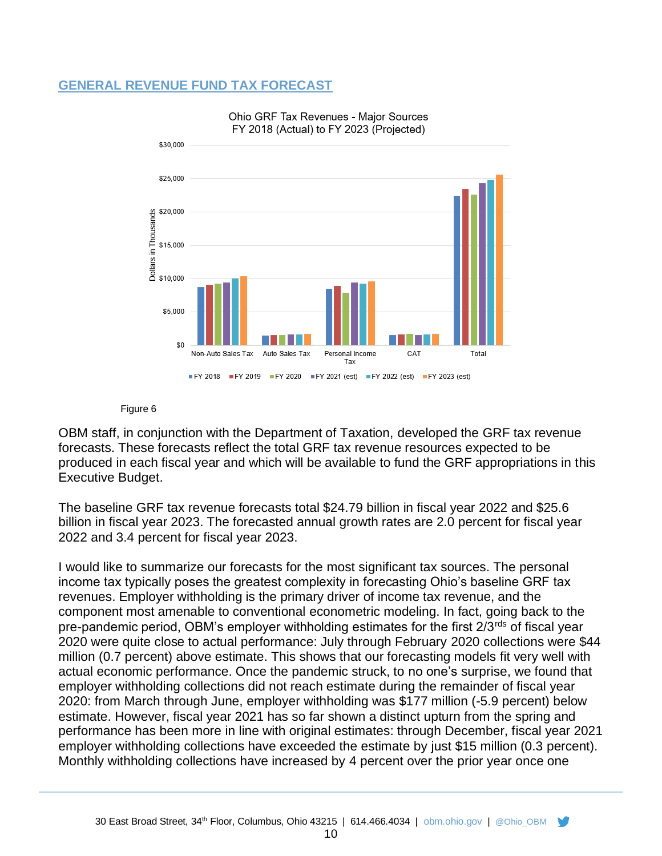#### **GENERAL REVENUE FUND TAX FORECAST**





#### Figure 6

OBM staff, in conjunction with the Department of Taxation, developed the GRF tax revenue forecasts. These forecasts reflect the total GRF tax revenue resources expected to be produced in each fiscal year and which will be available to fund the GRF appropriations in this Executive Budget.

The baseline GRF tax revenue forecasts total \$24.79 billion in fiscal year 2022 and \$25.6 billion in fiscal year 2023. The forecasted annual growth rates are 2.0 percent for fiscal year 2022 and 3.4 percent for fiscal year 2023.

I would like to summarize our forecasts for the most significant tax sources. The personal income tax typically poses the greatest complexity in forecasting Ohio's baseline GRF tax revenues. Employer withholding is the primary driver of income tax revenue, and the component most amenable to conventional econometric modeling. In fact, going back to the pre-pandemic period, OBM's employer withholding estimates for the first 2/3<sup>rds</sup> of fiscal year 2020 were quite close to actual performance: July through February 2020 collections were \$44 million (0.7 percent) above estimate. This shows that our forecasting models fit very well with actual economic performance. Once the pandemic struck, to no one's surprise, we found that employer withholding collections did not reach estimate during the remainder of fiscal year 2020: from March through June, employer withholding was \$177 million (-5.9 percent) below estimate. However, fiscal year 2021 has so far shown a distinct upturn from the spring and performance has been more in line with original estimates: through December, fiscal year 2021 employer withholding collections have exceeded the estimate by just \$15 million (0.3 percent). Monthly withholding collections have increased by 4 percent over the prior year once one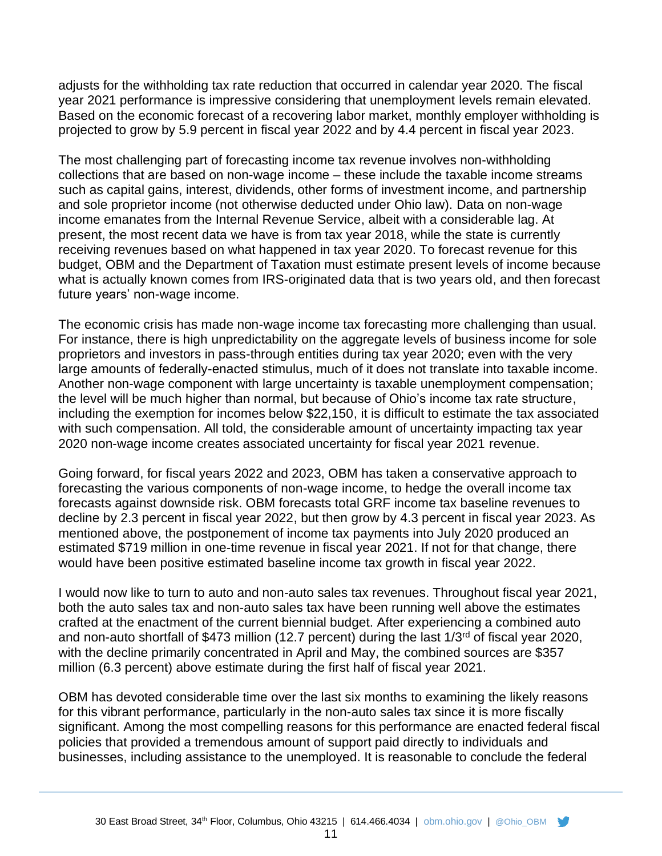adjusts for the withholding tax rate reduction that occurred in calendar year 2020. The fiscal year 2021 performance is impressive considering that unemployment levels remain elevated. Based on the economic forecast of a recovering labor market, monthly employer withholding is projected to grow by 5.9 percent in fiscal year 2022 and by 4.4 percent in fiscal year 2023.

The most challenging part of forecasting income tax revenue involves non-withholding collections that are based on non-wage income – these include the taxable income streams such as capital gains, interest, dividends, other forms of investment income, and partnership and sole proprietor income (not otherwise deducted under Ohio law). Data on non-wage income emanates from the Internal Revenue Service, albeit with a considerable lag. At present, the most recent data we have is from tax year 2018, while the state is currently receiving revenues based on what happened in tax year 2020. To forecast revenue for this budget, OBM and the Department of Taxation must estimate present levels of income because what is actually known comes from IRS-originated data that is two years old, and then forecast future years' non-wage income.

The economic crisis has made non-wage income tax forecasting more challenging than usual. For instance, there is high unpredictability on the aggregate levels of business income for sole proprietors and investors in pass-through entities during tax year 2020; even with the very large amounts of federally-enacted stimulus, much of it does not translate into taxable income. Another non-wage component with large uncertainty is taxable unemployment compensation; the level will be much higher than normal, but because of Ohio's income tax rate structure, including the exemption for incomes below \$22,150, it is difficult to estimate the tax associated with such compensation. All told, the considerable amount of uncertainty impacting tax year 2020 non-wage income creates associated uncertainty for fiscal year 2021 revenue.

Going forward, for fiscal years 2022 and 2023, OBM has taken a conservative approach to forecasting the various components of non-wage income, to hedge the overall income tax forecasts against downside risk. OBM forecasts total GRF income tax baseline revenues to decline by 2.3 percent in fiscal year 2022, but then grow by 4.3 percent in fiscal year 2023. As mentioned above, the postponement of income tax payments into July 2020 produced an estimated \$719 million in one-time revenue in fiscal year 2021. If not for that change, there would have been positive estimated baseline income tax growth in fiscal year 2022.

I would now like to turn to auto and non-auto sales tax revenues. Throughout fiscal year 2021, both the auto sales tax and non-auto sales tax have been running well above the estimates crafted at the enactment of the current biennial budget. After experiencing a combined auto and non-auto shortfall of \$473 million (12.7 percent) during the last 1/3<sup>rd</sup> of fiscal year 2020, with the decline primarily concentrated in April and May, the combined sources are \$357 million (6.3 percent) above estimate during the first half of fiscal year 2021.

OBM has devoted considerable time over the last six months to examining the likely reasons for this vibrant performance, particularly in the non-auto sales tax since it is more fiscally significant. Among the most compelling reasons for this performance are enacted federal fiscal policies that provided a tremendous amount of support paid directly to individuals and businesses, including assistance to the unemployed. It is reasonable to conclude the federal

11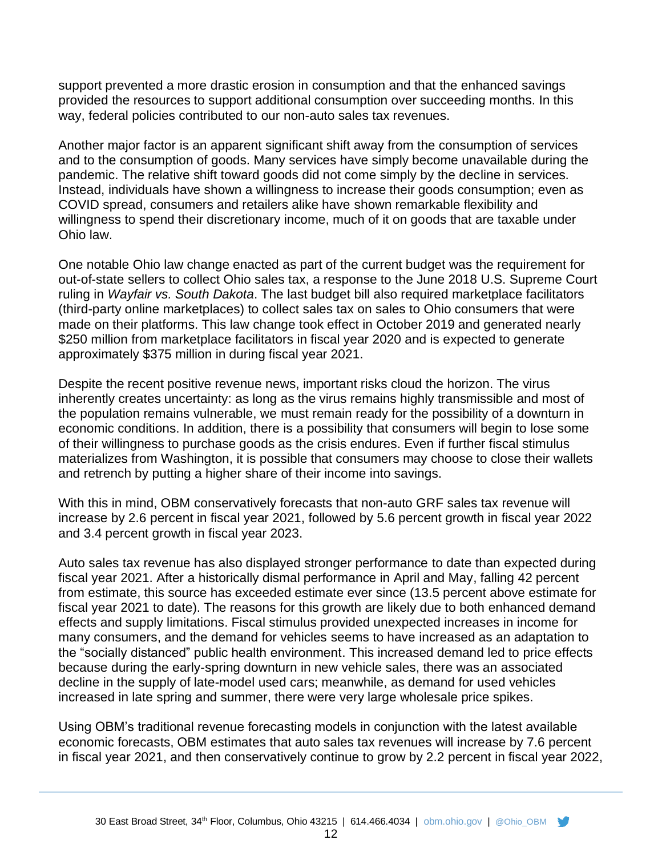support prevented a more drastic erosion in consumption and that the enhanced savings provided the resources to support additional consumption over succeeding months. In this way, federal policies contributed to our non-auto sales tax revenues.

Another major factor is an apparent significant shift away from the consumption of services and to the consumption of goods. Many services have simply become unavailable during the pandemic. The relative shift toward goods did not come simply by the decline in services. Instead, individuals have shown a willingness to increase their goods consumption; even as COVID spread, consumers and retailers alike have shown remarkable flexibility and willingness to spend their discretionary income, much of it on goods that are taxable under Ohio law.

One notable Ohio law change enacted as part of the current budget was the requirement for out-of-state sellers to collect Ohio sales tax, a response to the June 2018 U.S. Supreme Court ruling in *Wayfair vs. South Dakota*. The last budget bill also required marketplace facilitators (third-party online marketplaces) to collect sales tax on sales to Ohio consumers that were made on their platforms. This law change took effect in October 2019 and generated nearly \$250 million from marketplace facilitators in fiscal year 2020 and is expected to generate approximately \$375 million in during fiscal year 2021.

Despite the recent positive revenue news, important risks cloud the horizon. The virus inherently creates uncertainty: as long as the virus remains highly transmissible and most of the population remains vulnerable, we must remain ready for the possibility of a downturn in economic conditions. In addition, there is a possibility that consumers will begin to lose some of their willingness to purchase goods as the crisis endures. Even if further fiscal stimulus materializes from Washington, it is possible that consumers may choose to close their wallets and retrench by putting a higher share of their income into savings.

With this in mind, OBM conservatively forecasts that non-auto GRF sales tax revenue will increase by 2.6 percent in fiscal year 2021, followed by 5.6 percent growth in fiscal year 2022 and 3.4 percent growth in fiscal year 2023.

Auto sales tax revenue has also displayed stronger performance to date than expected during fiscal year 2021. After a historically dismal performance in April and May, falling 42 percent from estimate, this source has exceeded estimate ever since (13.5 percent above estimate for fiscal year 2021 to date). The reasons for this growth are likely due to both enhanced demand effects and supply limitations. Fiscal stimulus provided unexpected increases in income for many consumers, and the demand for vehicles seems to have increased as an adaptation to the "socially distanced" public health environment. This increased demand led to price effects because during the early-spring downturn in new vehicle sales, there was an associated decline in the supply of late-model used cars; meanwhile, as demand for used vehicles increased in late spring and summer, there were very large wholesale price spikes.

Using OBM's traditional revenue forecasting models in conjunction with the latest available economic forecasts, OBM estimates that auto sales tax revenues will increase by 7.6 percent in fiscal year 2021, and then conservatively continue to grow by 2.2 percent in fiscal year 2022,

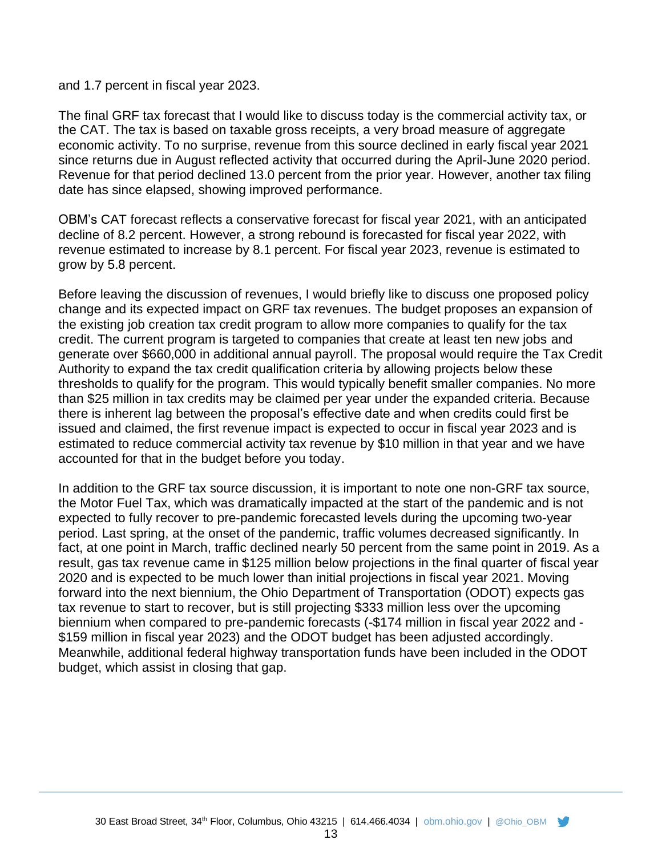#### and 1.7 percent in fiscal year 2023.

The final GRF tax forecast that I would like to discuss today is the commercial activity tax, or the CAT. The tax is based on taxable gross receipts, a very broad measure of aggregate economic activity. To no surprise, revenue from this source declined in early fiscal year 2021 since returns due in August reflected activity that occurred during the April-June 2020 period. Revenue for that period declined 13.0 percent from the prior year. However, another tax filing date has since elapsed, showing improved performance.

OBM's CAT forecast reflects a conservative forecast for fiscal year 2021, with an anticipated decline of 8.2 percent. However, a strong rebound is forecasted for fiscal year 2022, with revenue estimated to increase by 8.1 percent. For fiscal year 2023, revenue is estimated to grow by 5.8 percent.

Before leaving the discussion of revenues, I would briefly like to discuss one proposed policy change and its expected impact on GRF tax revenues. The budget proposes an expansion of the existing job creation tax credit program to allow more companies to qualify for the tax credit. The current program is targeted to companies that create at least ten new jobs and generate over \$660,000 in additional annual payroll. The proposal would require the Tax Credit Authority to expand the tax credit qualification criteria by allowing projects below these thresholds to qualify for the program. This would typically benefit smaller companies. No more than \$25 million in tax credits may be claimed per year under the expanded criteria. Because there is inherent lag between the proposal's effective date and when credits could first be issued and claimed, the first revenue impact is expected to occur in fiscal year 2023 and is estimated to reduce commercial activity tax revenue by \$10 million in that year and we have accounted for that in the budget before you today.

In addition to the GRF tax source discussion, it is important to note one non-GRF tax source, the Motor Fuel Tax, which was dramatically impacted at the start of the pandemic and is not expected to fully recover to pre-pandemic forecasted levels during the upcoming two-year period. Last spring, at the onset of the pandemic, traffic volumes decreased significantly. In fact, at one point in March, traffic declined nearly 50 percent from the same point in 2019. As a result, gas tax revenue came in \$125 million below projections in the final quarter of fiscal year 2020 and is expected to be much lower than initial projections in fiscal year 2021. Moving forward into the next biennium, the Ohio Department of Transportation (ODOT) expects gas tax revenue to start to recover, but is still projecting \$333 million less over the upcoming biennium when compared to pre-pandemic forecasts (-\$174 million in fiscal year 2022 and - \$159 million in fiscal year 2023) and the ODOT budget has been adjusted accordingly. Meanwhile, additional federal highway transportation funds have been included in the ODOT budget, which assist in closing that gap.

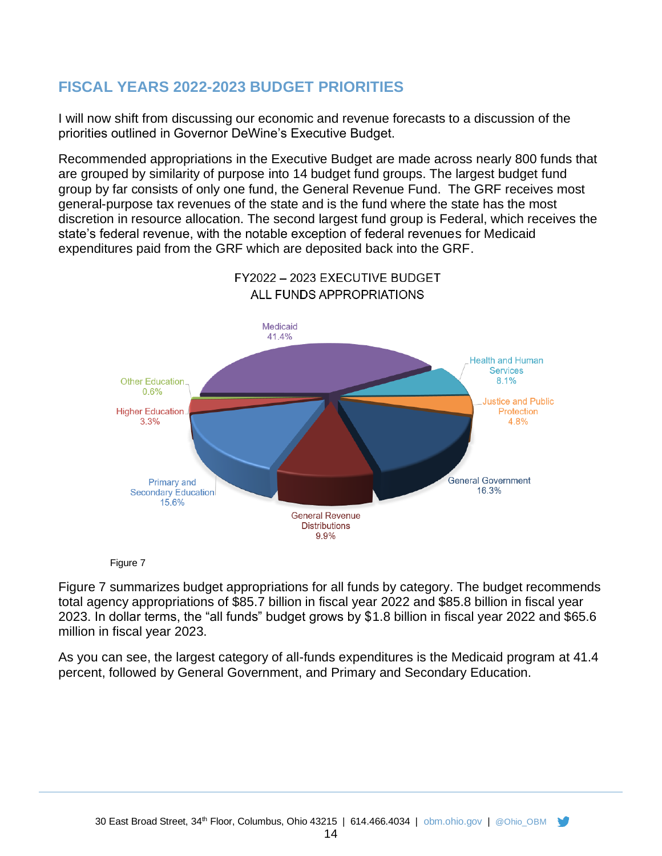# **FISCAL YEARS 2022-2023 BUDGET PRIORITIES**

I will now shift from discussing our economic and revenue forecasts to a discussion of the priorities outlined in Governor DeWine's Executive Budget.

Recommended appropriations in the Executive Budget are made across nearly 800 funds that are grouped by similarity of purpose into 14 budget fund groups. The largest budget fund group by far consists of only one fund, the General Revenue Fund. The GRF receives most general-purpose tax revenues of the state and is the fund where the state has the most discretion in resource allocation. The second largest fund group is Federal, which receives the state's federal revenue, with the notable exception of federal revenues for Medicaid expenditures paid from the GRF which are deposited back into the GRF.



# FY2022 - 2023 EXECUTIVE BUDGET

Figure 7

Figure 7 summarizes budget appropriations for all funds by category. The budget recommends total agency appropriations of \$85.7 billion in fiscal year 2022 and \$85.8 billion in fiscal year 2023. In dollar terms, the "all funds" budget grows by \$1.8 billion in fiscal year 2022 and \$65.6 million in fiscal year 2023.

As you can see, the largest category of all-funds expenditures is the Medicaid program at 41.4 percent, followed by General Government, and Primary and Secondary Education.

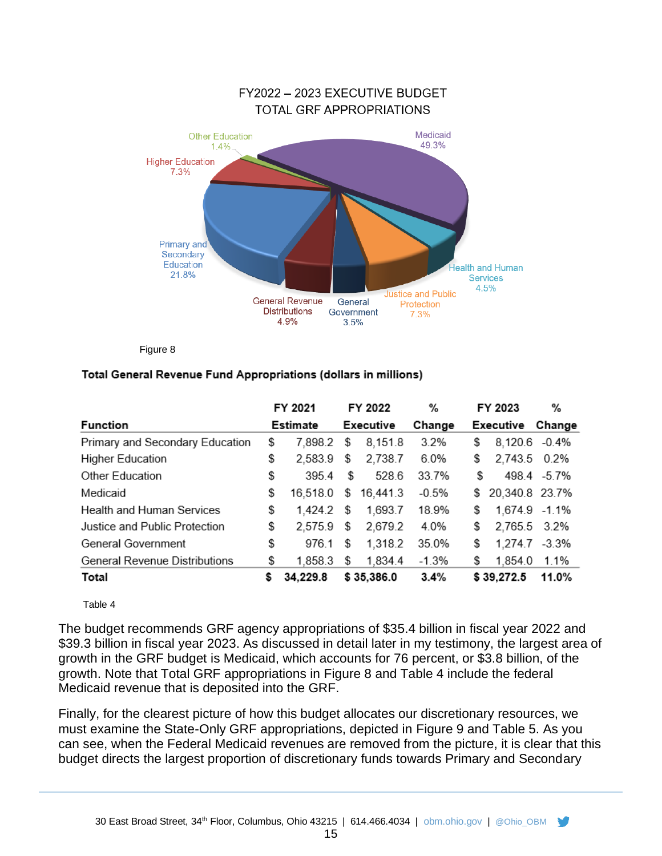

Figure 8

#### Total General Revenue Fund Appropriations (dollars in millions)

|                                  |    | FY 2021  |      | FY 2022    | %       | FY 2023              | %           |
|----------------------------------|----|----------|------|------------|---------|----------------------|-------------|
| <b>Function</b>                  |    | Estimate |      | Executive  | Change  | Executive            | Change      |
| Primary and Secondary Education  | \$ | 7.898.2  | \$   | 8,151.8    | 3.2%    | \$<br>8,120.6 -0.4%  |             |
| <b>Higher Education</b>          | \$ | 2,583.9  | \$   | 2,738.7    | 6.0%    | \$<br>2,743.5 0.2%   |             |
| Other Education                  | \$ | 395.4    | \$   | 528.6      | 33.7%   | \$                   | 498.4 -5.7% |
| Medicaid                         | \$ | 16,518.0 | \$   | 16,441.3   | $-0.5%$ | \$<br>20,340.8 23.7% |             |
| <b>Health and Human Services</b> | \$ | 1.424.2  | - \$ | 1,693.7    | 18.9%   | \$<br>1,674.9 -1.1%  |             |
| Justice and Public Protection    | \$ | 2,575.9  | \$   | 2,679.2    | 4.0%    | \$<br>2,765.5 3.2%   |             |
| General Government               | \$ | 976.1    | \$   | 1,318.2    | 35.0%   | \$<br>1,274.7        | $-3.3%$     |
| General Revenue Distributions    | \$ | 1.858.3  | \$   | 1,834.4    | $-1.3%$ | \$<br>1,854.0        | 1.1%        |
| Total                            | s  | 34,229.8 |      | \$35,386.0 | 3.4%    | \$39,272.5           | 11.0%       |

Table 4

The budget recommends GRF agency appropriations of \$35.4 billion in fiscal year 2022 and \$39.3 billion in fiscal year 2023. As discussed in detail later in my testimony, the largest area of growth in the GRF budget is Medicaid, which accounts for 76 percent, or \$3.8 billion, of the growth. Note that Total GRF appropriations in Figure 8 and Table 4 include the federal Medicaid revenue that is deposited into the GRF.

Finally, for the clearest picture of how this budget allocates our discretionary resources, we must examine the State-Only GRF appropriations, depicted in Figure 9 and Table 5. As you can see, when the Federal Medicaid revenues are removed from the picture, it is clear that this budget directs the largest proportion of discretionary funds towards Primary and Secondary

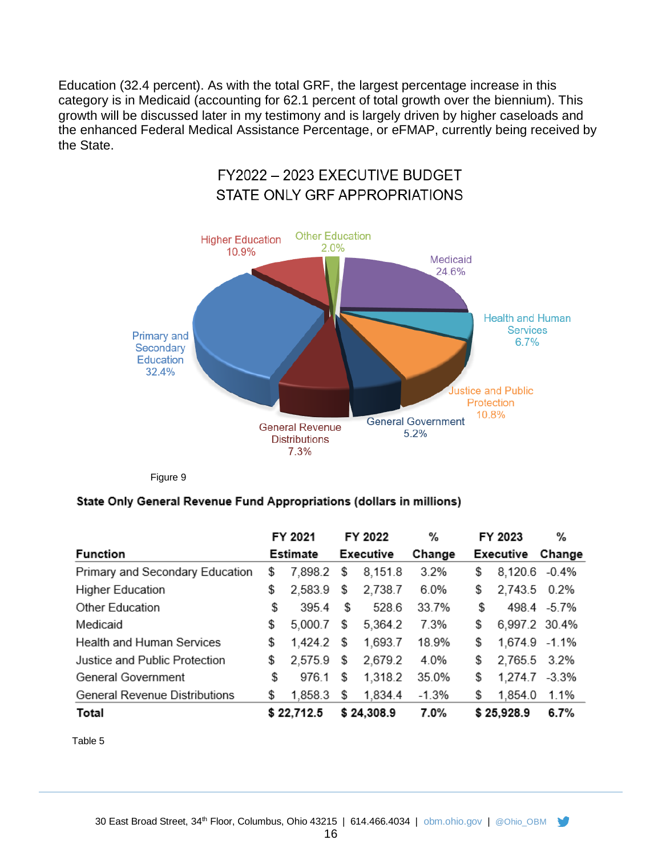Education (32.4 percent). As with the total GRF, the largest percentage increase in this category is in Medicaid (accounting for 62.1 percent of total growth over the biennium). This growth will be discussed later in my testimony and is largely driven by higher caseloads and the enhanced Federal Medical Assistance Percentage, or eFMAP, currently being received by the State.



Figure 9

#### State Only General Revenue Fund Appropriations (dollars in millions)

|                                 | FY 2021       | FY 2022       | ℅       | FY 2023             | %             |
|---------------------------------|---------------|---------------|---------|---------------------|---------------|
| <b>Function</b>                 | Estimate      | Executive     | Change  | Executive           | Change        |
| Primary and Secondary Education | \$<br>7,898.2 | \$<br>8,151.8 | 3.2%    | \$<br>8,120.6 -0.4% |               |
| <b>Higher Education</b>         | \$<br>2,583.9 | \$<br>2,738.7 | 6.0%    | \$<br>2,743.5       | 0.2%          |
| Other Education                 | \$<br>3954    | \$<br>528.6   | 33.7%   | \$                  | 498.4 -5.7%   |
| Medicaid                        | \$<br>5.000.7 | \$<br>5,364.2 | 7.3%    | \$<br>6,997.2 30.4% |               |
| Health and Human Services       | \$<br>1,424.2 | \$<br>1,693.7 | 18.9%   | \$                  | 1,674.9 -1.1% |
| Justice and Public Protection   | \$<br>2,575.9 | \$<br>2,679.2 | 4.0%    | \$<br>2,765.5       | $3.2\%$       |
| General Government              | \$<br>976.1   | \$<br>1,318.2 | 35.0%   | \$<br>1,274.7       | $-3.3%$       |
| General Revenue Distributions   | \$<br>1,858.3 | \$<br>1,834.4 | $-1.3%$ | \$<br>1,854.0       | 1.1%          |
| Total                           | \$22,712.5    | \$24,308.9    | 7.0%    | \$25,928.9          | 6.7%          |

Table 5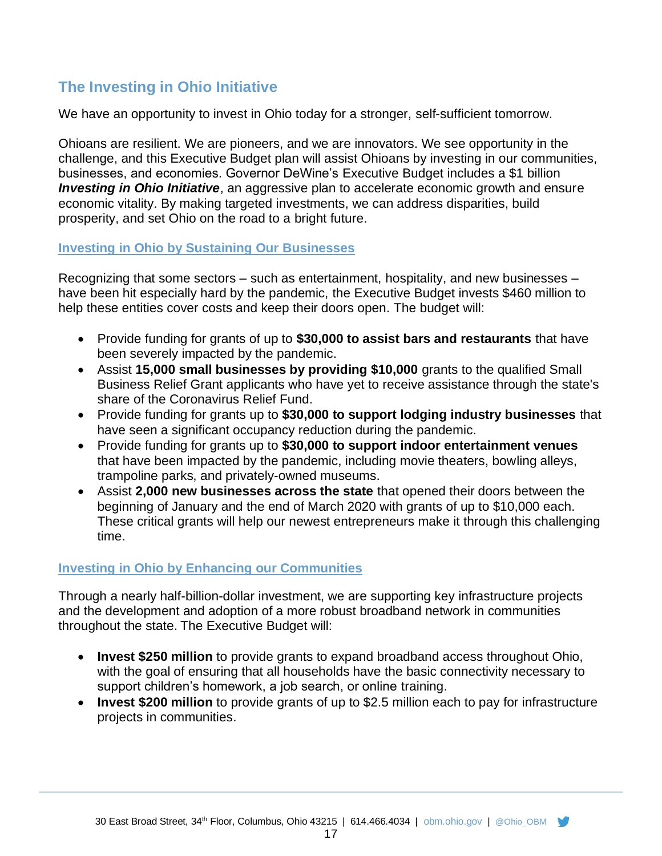# **The Investing in Ohio Initiative**

We have an opportunity to invest in Ohio today for a stronger, self-sufficient tomorrow.

Ohioans are resilient. We are pioneers, and we are innovators. We see opportunity in the challenge, and this Executive Budget plan will assist Ohioans by investing in our communities, businesses, and economies. Governor DeWine's Executive Budget includes a \$1 billion *Investing in Ohio Initiative*, an aggressive plan to accelerate economic growth and ensure economic vitality. By making targeted investments, we can address disparities, build prosperity, and set Ohio on the road to a bright future.

#### **Investing in Ohio by Sustaining Our Businesses**

Recognizing that some sectors – such as entertainment, hospitality, and new businesses – have been hit especially hard by the pandemic, the Executive Budget invests \$460 million to help these entities cover costs and keep their doors open. The budget will:

- Provide funding for grants of up to **\$30,000 to assist bars and restaurants** that have been severely impacted by the pandemic.
- Assist **15,000 small businesses by providing \$10,000** grants to the qualified Small Business Relief Grant applicants who have yet to receive assistance through the state's share of the Coronavirus Relief Fund.
- Provide funding for grants up to **\$30,000 to support lodging industry businesses** that have seen a significant occupancy reduction during the pandemic.
- Provide funding for grants up to **\$30,000 to support indoor entertainment venues** that have been impacted by the pandemic, including movie theaters, bowling alleys, trampoline parks, and privately-owned museums.
- Assist **2,000 new businesses across the state** that opened their doors between the beginning of January and the end of March 2020 with grants of up to \$10,000 each. These critical grants will help our newest entrepreneurs make it through this challenging time.

## **Investing in Ohio by Enhancing our Communities**

Through a nearly half-billion-dollar investment, we are supporting key infrastructure projects and the development and adoption of a more robust broadband network in communities throughout the state. The Executive Budget will:

- **Invest \$250 million** to provide grants to expand broadband access throughout Ohio, with the goal of ensuring that all households have the basic connectivity necessary to support children's homework, a job search, or online training.
- **Invest \$200 million** to provide grants of up to \$2.5 million each to pay for infrastructure projects in communities.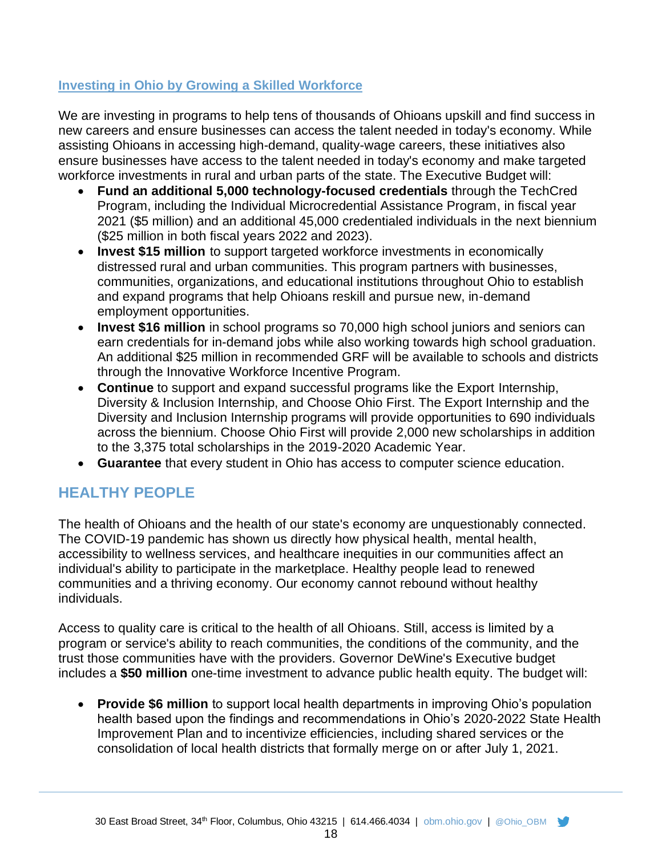## **Investing in Ohio by Growing a Skilled Workforce**

We are investing in programs to help tens of thousands of Ohioans upskill and find success in new careers and ensure businesses can access the talent needed in today's economy. While assisting Ohioans in accessing high-demand, quality-wage careers, these initiatives also ensure businesses have access to the talent needed in today's economy and make targeted workforce investments in rural and urban parts of the state. The Executive Budget will:

- **Fund an additional 5,000 technology-focused credentials** through the TechCred Program, including the Individual Microcredential Assistance Program, in fiscal year 2021 (\$5 million) and an additional 45,000 credentialed individuals in the next biennium (\$25 million in both fiscal years 2022 and 2023).
- **Invest \$15 million** to support targeted workforce investments in economically distressed rural and urban communities. This program partners with businesses, communities, organizations, and educational institutions throughout Ohio to establish and expand programs that help Ohioans reskill and pursue new, in-demand employment opportunities.
- **Invest \$16 million** in school programs so 70,000 high school juniors and seniors can earn credentials for in-demand jobs while also working towards high school graduation. An additional \$25 million in recommended GRF will be available to schools and districts through the Innovative Workforce Incentive Program.
- **Continue** to support and expand successful programs like the Export Internship, Diversity & Inclusion Internship, and Choose Ohio First. The Export Internship and the Diversity and Inclusion Internship programs will provide opportunities to 690 individuals across the biennium. Choose Ohio First will provide 2,000 new scholarships in addition to the 3,375 total scholarships in the 2019-2020 Academic Year.
- **Guarantee** that every student in Ohio has access to computer science education.

# **HEALTHY PEOPLE**

The health of Ohioans and the health of our state's economy are unquestionably connected. The COVID-19 pandemic has shown us directly how physical health, mental health, accessibility to wellness services, and healthcare inequities in our communities affect an individual's ability to participate in the marketplace. Healthy people lead to renewed communities and a thriving economy. Our economy cannot rebound without healthy individuals.

Access to quality care is critical to the health of all Ohioans. Still, access is limited by a program or service's ability to reach communities, the conditions of the community, and the trust those communities have with the providers. Governor DeWine's Executive budget includes a **\$50 million** one-time investment to advance public health equity. The budget will:

• **Provide \$6 million** to support local health departments in improving Ohio's population health based upon the findings and recommendations in Ohio's 2020-2022 State Health Improvement Plan and to incentivize efficiencies, including shared services or the consolidation of local health districts that formally merge on or after July 1, 2021.

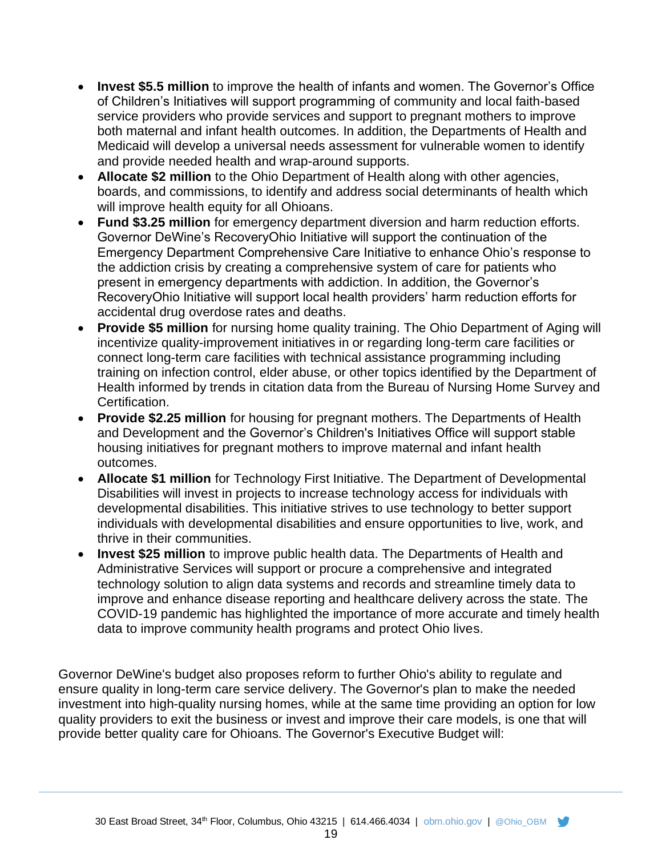- **Invest \$5.5 million** to improve the health of infants and women. The Governor's Office of Children's Initiatives will support programming of community and local faith-based service providers who provide services and support to pregnant mothers to improve both maternal and infant health outcomes. In addition, the Departments of Health and Medicaid will develop a universal needs assessment for vulnerable women to identify and provide needed health and wrap-around supports.
- **Allocate \$2 million** to the Ohio Department of Health along with other agencies, boards, and commissions, to identify and address social determinants of health which will improve health equity for all Ohioans.
- **Fund \$3.25 million** for emergency department diversion and harm reduction efforts. Governor DeWine's RecoveryOhio Initiative will support the continuation of the Emergency Department Comprehensive Care Initiative to enhance Ohio's response to the addiction crisis by creating a comprehensive system of care for patients who present in emergency departments with addiction. In addition, the Governor's RecoveryOhio Initiative will support local health providers' harm reduction efforts for accidental drug overdose rates and deaths.
- **Provide \$5 million** for nursing home quality training. The Ohio Department of Aging will incentivize quality-improvement initiatives in or regarding long-term care facilities or connect long-term care facilities with technical assistance programming including training on infection control, elder abuse, or other topics identified by the Department of Health informed by trends in citation data from the Bureau of Nursing Home Survey and Certification.
- **Provide \$2.25 million** for housing for pregnant mothers. The Departments of Health and Development and the Governor's Children's Initiatives Office will support stable housing initiatives for pregnant mothers to improve maternal and infant health outcomes.
- **Allocate \$1 million** for Technology First Initiative. The Department of Developmental Disabilities will invest in projects to increase technology access for individuals with developmental disabilities. This initiative strives to use technology to better support individuals with developmental disabilities and ensure opportunities to live, work, and thrive in their communities.
- **Invest \$25 million** to improve public health data. The Departments of Health and Administrative Services will support or procure a comprehensive and integrated technology solution to align data systems and records and streamline timely data to improve and enhance disease reporting and healthcare delivery across the state. The COVID-19 pandemic has highlighted the importance of more accurate and timely health data to improve community health programs and protect Ohio lives.

Governor DeWine's budget also proposes reform to further Ohio's ability to regulate and ensure quality in long-term care service delivery. The Governor's plan to make the needed investment into high-quality nursing homes, while at the same time providing an option for low quality providers to exit the business or invest and improve their care models, is one that will provide better quality care for Ohioans. The Governor's Executive Budget will:

19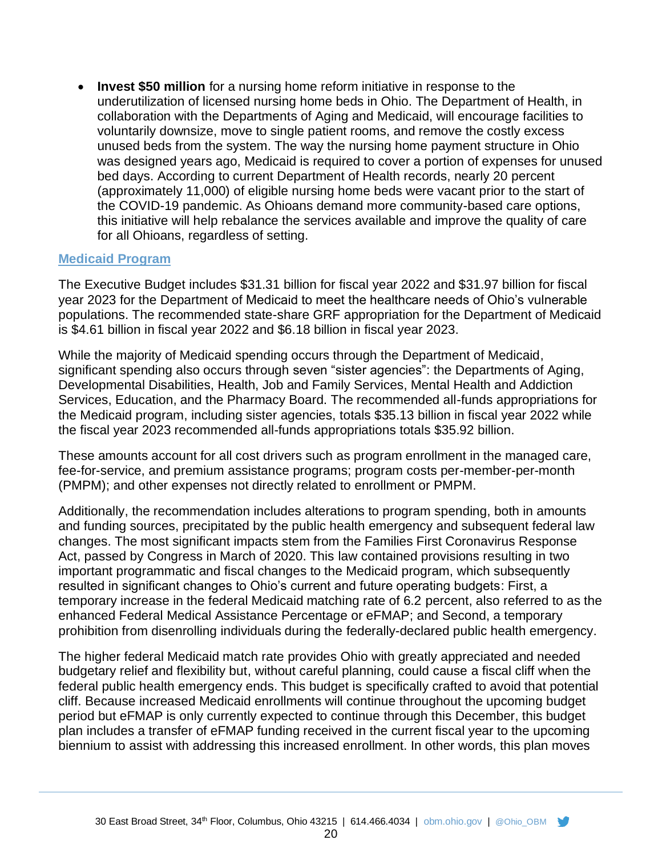• **Invest \$50 million** for a nursing home reform initiative in response to the underutilization of licensed nursing home beds in Ohio. The Department of Health, in collaboration with the Departments of Aging and Medicaid, will encourage facilities to voluntarily downsize, move to single patient rooms, and remove the costly excess unused beds from the system. The way the nursing home payment structure in Ohio was designed years ago, Medicaid is required to cover a portion of expenses for unused bed days. According to current Department of Health records, nearly 20 percent (approximately 11,000) of eligible nursing home beds were vacant prior to the start of the COVID-19 pandemic. As Ohioans demand more community-based care options, this initiative will help rebalance the services available and improve the quality of care for all Ohioans, regardless of setting.

#### **Medicaid Program**

The Executive Budget includes \$31.31 billion for fiscal year 2022 and \$31.97 billion for fiscal year 2023 for the Department of Medicaid to meet the healthcare needs of Ohio's vulnerable populations. The recommended state-share GRF appropriation for the Department of Medicaid is \$4.61 billion in fiscal year 2022 and \$6.18 billion in fiscal year 2023.

While the majority of Medicaid spending occurs through the Department of Medicaid, significant spending also occurs through seven "sister agencies": the Departments of Aging, Developmental Disabilities, Health, Job and Family Services, Mental Health and Addiction Services, Education, and the Pharmacy Board. The recommended all-funds appropriations for the Medicaid program, including sister agencies, totals \$35.13 billion in fiscal year 2022 while the fiscal year 2023 recommended all-funds appropriations totals \$35.92 billion.

These amounts account for all cost drivers such as program enrollment in the managed care, fee-for-service, and premium assistance programs; program costs per-member-per-month (PMPM); and other expenses not directly related to enrollment or PMPM.

Additionally, the recommendation includes alterations to program spending, both in amounts and funding sources, precipitated by the public health emergency and subsequent federal law changes. The most significant impacts stem from the Families First Coronavirus Response Act, passed by Congress in March of 2020. This law contained provisions resulting in two important programmatic and fiscal changes to the Medicaid program, which subsequently resulted in significant changes to Ohio's current and future operating budgets: First, a temporary increase in the federal Medicaid matching rate of 6.2 percent, also referred to as the enhanced Federal Medical Assistance Percentage or eFMAP; and Second, a temporary prohibition from disenrolling individuals during the federally-declared public health emergency.

The higher federal Medicaid match rate provides Ohio with greatly appreciated and needed budgetary relief and flexibility but, without careful planning, could cause a fiscal cliff when the federal public health emergency ends. This budget is specifically crafted to avoid that potential cliff. Because increased Medicaid enrollments will continue throughout the upcoming budget period but eFMAP is only currently expected to continue through this December, this budget plan includes a transfer of eFMAP funding received in the current fiscal year to the upcoming biennium to assist with addressing this increased enrollment. In other words, this plan moves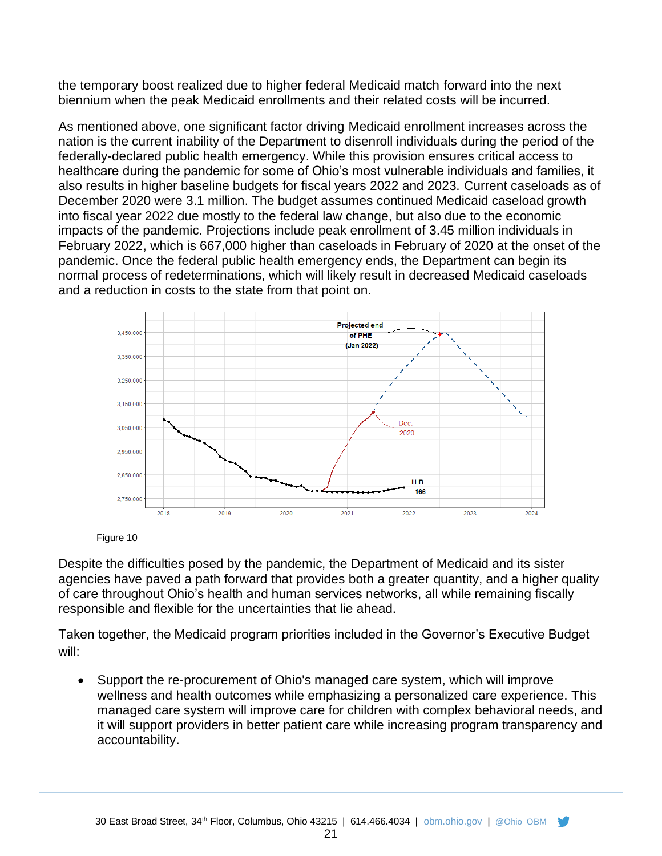the temporary boost realized due to higher federal Medicaid match forward into the next biennium when the peak Medicaid enrollments and their related costs will be incurred.

As mentioned above, one significant factor driving Medicaid enrollment increases across the nation is the current inability of the Department to disenroll individuals during the period of the federally-declared public health emergency. While this provision ensures critical access to healthcare during the pandemic for some of Ohio's most vulnerable individuals and families, it also results in higher baseline budgets for fiscal years 2022 and 2023. Current caseloads as of December 2020 were 3.1 million. The budget assumes continued Medicaid caseload growth into fiscal year 2022 due mostly to the federal law change, but also due to the economic impacts of the pandemic. Projections include peak enrollment of 3.45 million individuals in February 2022, which is 667,000 higher than caseloads in February of 2020 at the onset of the pandemic. Once the federal public health emergency ends, the Department can begin its normal process of redeterminations, which will likely result in decreased Medicaid caseloads and a reduction in costs to the state from that point on.



Figure 10

Despite the difficulties posed by the pandemic, the Department of Medicaid and its sister agencies have paved a path forward that provides both a greater quantity, and a higher quality of care throughout Ohio's health and human services networks, all while remaining fiscally responsible and flexible for the uncertainties that lie ahead.

Taken together, the Medicaid program priorities included in the Governor's Executive Budget will:

• Support the re-procurement of Ohio's managed care system, which will improve wellness and health outcomes while emphasizing a personalized care experience. This managed care system will improve care for children with complex behavioral needs, and it will support providers in better patient care while increasing program transparency and accountability.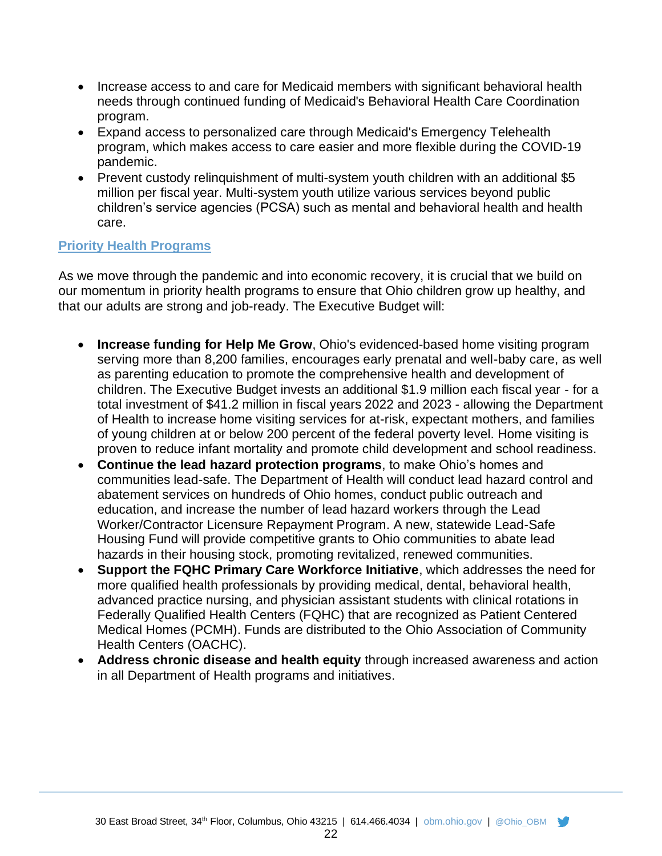- Increase access to and care for Medicaid members with significant behavioral health needs through continued funding of Medicaid's Behavioral Health Care Coordination program.
- Expand access to personalized care through Medicaid's Emergency Telehealth program, which makes access to care easier and more flexible during the COVID-19 pandemic.
- Prevent custody relinquishment of multi-system youth children with an additional \$5 million per fiscal year. Multi-system youth utilize various services beyond public children's service agencies (PCSA) such as mental and behavioral health and health care.

#### **Priority Health Programs**

As we move through the pandemic and into economic recovery, it is crucial that we build on our momentum in priority health programs to ensure that Ohio children grow up healthy, and that our adults are strong and job-ready. The Executive Budget will:

- **Increase funding for Help Me Grow**, Ohio's evidenced-based home visiting program serving more than 8,200 families, encourages early prenatal and well-baby care, as well as parenting education to promote the comprehensive health and development of children. The Executive Budget invests an additional \$1.9 million each fiscal year - for a total investment of \$41.2 million in fiscal years 2022 and 2023 - allowing the Department of Health to increase home visiting services for at-risk, expectant mothers, and families of young children at or below 200 percent of the federal poverty level. Home visiting is proven to reduce infant mortality and promote child development and school readiness.
- **Continue the lead hazard protection programs**, to make Ohio's homes and communities lead-safe. The Department of Health will conduct lead hazard control and abatement services on hundreds of Ohio homes, conduct public outreach and education, and increase the number of lead hazard workers through the Lead Worker/Contractor Licensure Repayment Program. A new, statewide Lead-Safe Housing Fund will provide competitive grants to Ohio communities to abate lead hazards in their housing stock, promoting revitalized, renewed communities.
- **Support the FQHC Primary Care Workforce Initiative**, which addresses the need for more qualified health professionals by providing medical, dental, behavioral health, advanced practice nursing, and physician assistant students with clinical rotations in Federally Qualified Health Centers (FQHC) that are recognized as Patient Centered Medical Homes (PCMH). Funds are distributed to the Ohio Association of Community Health Centers (OACHC).
- **Address chronic disease and health equity** through increased awareness and action in all Department of Health programs and initiatives.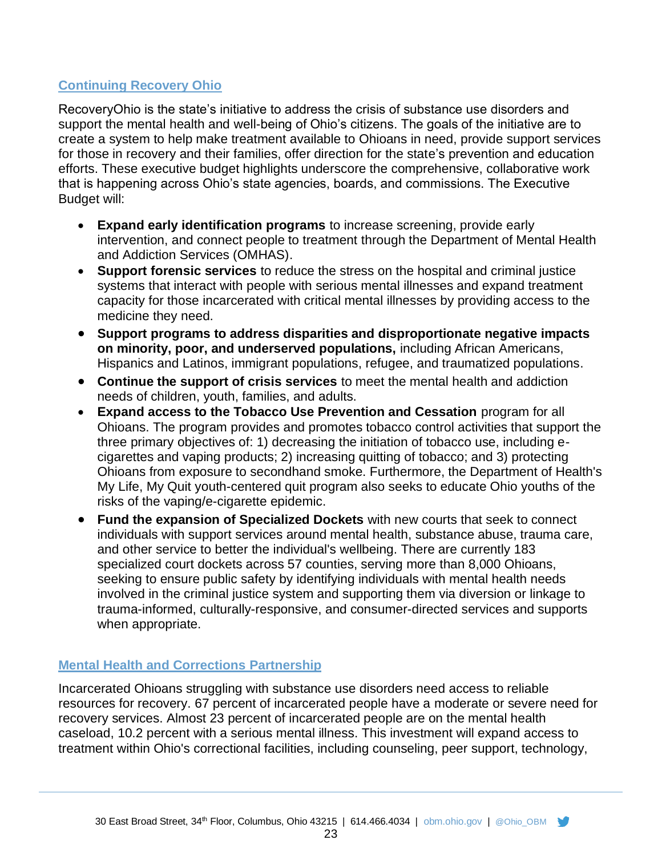## **Continuing Recovery Ohio**

RecoveryOhio is the state's initiative to address the crisis of substance use disorders and support the mental health and well-being of Ohio's citizens. The goals of the initiative are to create a system to help make treatment available to Ohioans in need, provide support services for those in recovery and their families, offer direction for the state's prevention and education efforts. These executive budget highlights underscore the comprehensive, collaborative work that is happening across Ohio's state agencies, boards, and commissions. The Executive Budget will:

- **Expand early identification programs** to increase screening, provide early intervention, and connect people to treatment through the Department of Mental Health and Addiction Services (OMHAS).
- **Support forensic services** to reduce the stress on the hospital and criminal justice systems that interact with people with serious mental illnesses and expand treatment capacity for those incarcerated with critical mental illnesses by providing access to the medicine they need.
- **Support programs to address disparities and disproportionate negative impacts on minority, poor, and underserved populations,** including African Americans, Hispanics and Latinos, immigrant populations, refugee, and traumatized populations.
- **Continue the support of crisis services** to meet the mental health and addiction needs of children, youth, families, and adults.
- **Expand access to the Tobacco Use Prevention and Cessation** program for all Ohioans. The program provides and promotes tobacco control activities that support the three primary objectives of: 1) decreasing the initiation of tobacco use, including ecigarettes and vaping products; 2) increasing quitting of tobacco; and 3) protecting Ohioans from exposure to secondhand smoke. Furthermore, the Department of Health's My Life, My Quit youth-centered quit program also seeks to educate Ohio youths of the risks of the vaping/e-cigarette epidemic.
- **Fund the expansion of Specialized Dockets** with new courts that seek to connect individuals with support services around mental health, substance abuse, trauma care, and other service to better the individual's wellbeing. There are currently 183 specialized court dockets across 57 counties, serving more than 8,000 Ohioans, seeking to ensure public safety by identifying individuals with mental health needs involved in the criminal justice system and supporting them via diversion or linkage to trauma-informed, culturally-responsive, and consumer-directed services and supports when appropriate.

## **Mental Health and Corrections Partnership**

Incarcerated Ohioans struggling with substance use disorders need access to reliable resources for recovery. 67 percent of incarcerated people have a moderate or severe need for recovery services. Almost 23 percent of incarcerated people are on the mental health caseload, 10.2 percent with a serious mental illness. This investment will expand access to treatment within Ohio's correctional facilities, including counseling, peer support, technology,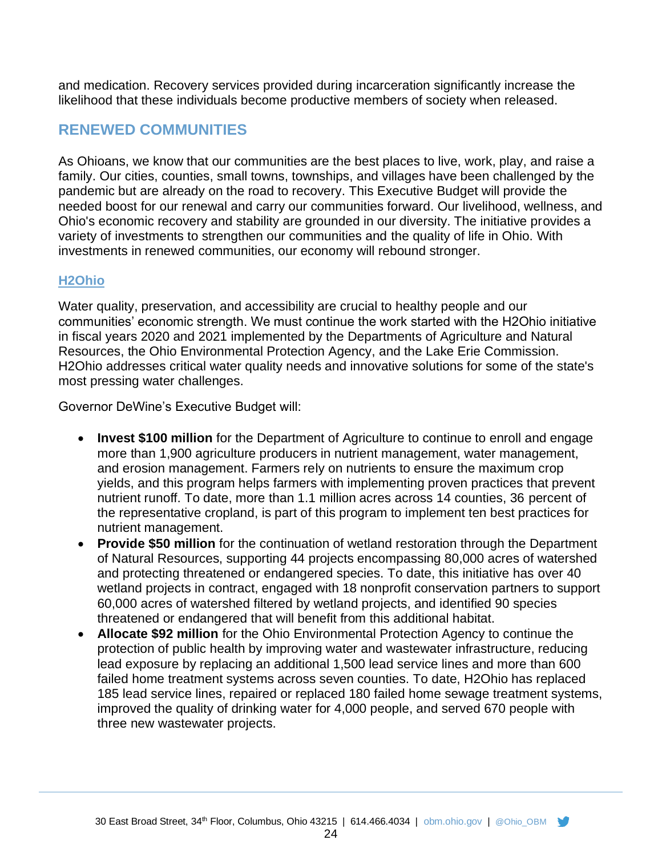and medication. Recovery services provided during incarceration significantly increase the likelihood that these individuals become productive members of society when released.

## **RENEWED COMMUNITIES**

As Ohioans, we know that our communities are the best places to live, work, play, and raise a family. Our cities, counties, small towns, townships, and villages have been challenged by the pandemic but are already on the road to recovery. This Executive Budget will provide the needed boost for our renewal and carry our communities forward. Our livelihood, wellness, and Ohio's economic recovery and stability are grounded in our diversity. The initiative provides a variety of investments to strengthen our communities and the quality of life in Ohio. With investments in renewed communities, our economy will rebound stronger.

## **H2Ohio**

Water quality, preservation, and accessibility are crucial to healthy people and our communities' economic strength. We must continue the work started with the H2Ohio initiative in fiscal years 2020 and 2021 implemented by the Departments of Agriculture and Natural Resources, the Ohio Environmental Protection Agency, and the Lake Erie Commission. H2Ohio addresses critical water quality needs and innovative solutions for some of the state's most pressing water challenges.

Governor DeWine's Executive Budget will:

- **Invest \$100 million** for the Department of Agriculture to continue to enroll and engage more than 1,900 agriculture producers in nutrient management, water management, and erosion management. Farmers rely on nutrients to ensure the maximum crop yields, and this program helps farmers with implementing proven practices that prevent nutrient runoff. To date, more than 1.1 million acres across 14 counties, 36 percent of the representative cropland, is part of this program to implement ten best practices for nutrient management.
- **Provide \$50 million** for the continuation of wetland restoration through the Department of Natural Resources, supporting 44 projects encompassing 80,000 acres of watershed and protecting threatened or endangered species. To date, this initiative has over 40 wetland projects in contract, engaged with 18 nonprofit conservation partners to support 60,000 acres of watershed filtered by wetland projects, and identified 90 species threatened or endangered that will benefit from this additional habitat.
- **Allocate \$92 million** for the Ohio Environmental Protection Agency to continue the protection of public health by improving water and wastewater infrastructure, reducing lead exposure by replacing an additional 1,500 lead service lines and more than 600 failed home treatment systems across seven counties. To date, H2Ohio has replaced 185 lead service lines, repaired or replaced 180 failed home sewage treatment systems, improved the quality of drinking water for 4,000 people, and served 670 people with three new wastewater projects.

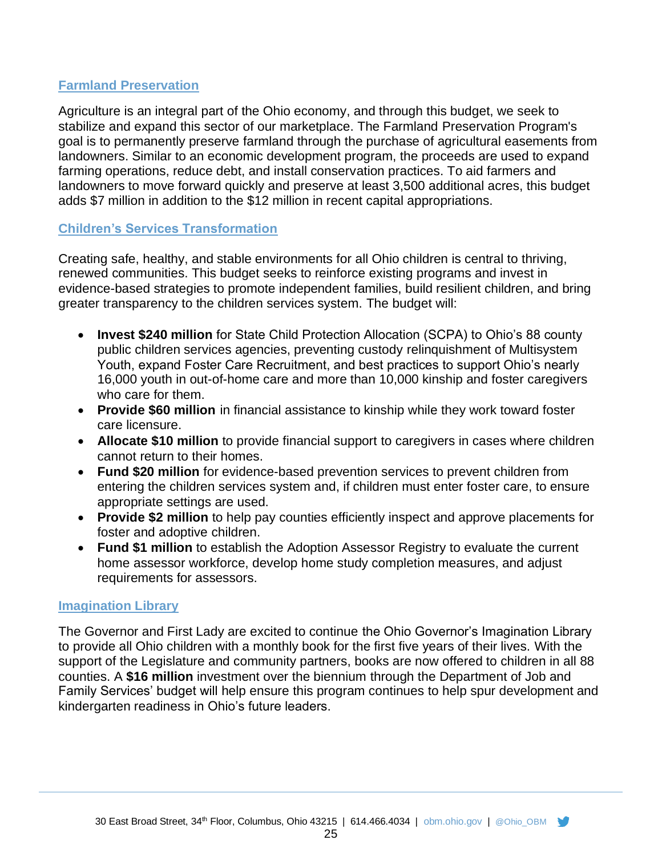## **Farmland Preservation**

Agriculture is an integral part of the Ohio economy, and through this budget, we seek to stabilize and expand this sector of our marketplace. The Farmland Preservation Program's goal is to permanently preserve farmland through the purchase of agricultural easements from landowners. Similar to an economic development program, the proceeds are used to expand farming operations, reduce debt, and install conservation practices. To aid farmers and landowners to move forward quickly and preserve at least 3,500 additional acres, this budget adds \$7 million in addition to the \$12 million in recent capital appropriations.

#### **Children's Services Transformation**

Creating safe, healthy, and stable environments for all Ohio children is central to thriving, renewed communities. This budget seeks to reinforce existing programs and invest in evidence-based strategies to promote independent families, build resilient children, and bring greater transparency to the children services system. The budget will:

- **Invest \$240 million** for State Child Protection Allocation (SCPA) to Ohio's 88 county public children services agencies, preventing custody relinquishment of Multisystem Youth, expand Foster Care Recruitment, and best practices to support Ohio's nearly 16,000 youth in out-of-home care and more than 10,000 kinship and foster caregivers who care for them.
- **Provide \$60 million** in financial assistance to kinship while they work toward foster care licensure.
- **Allocate \$10 million** to provide financial support to caregivers in cases where children cannot return to their homes.
- **Fund \$20 million** for evidence-based prevention services to prevent children from entering the children services system and, if children must enter foster care, to ensure appropriate settings are used.
- **Provide \$2 million** to help pay counties efficiently inspect and approve placements for foster and adoptive children.
- **Fund \$1 million** to establish the Adoption Assessor Registry to evaluate the current home assessor workforce, develop home study completion measures, and adjust requirements for assessors.

#### **Imagination Library**

The Governor and First Lady are excited to continue the Ohio Governor's Imagination Library to provide all Ohio children with a monthly book for the first five years of their lives. With the support of the Legislature and community partners, books are now offered to children in all 88 counties. A **\$16 million** investment over the biennium through the Department of Job and Family Services' budget will help ensure this program continues to help spur development and kindergarten readiness in Ohio's future leaders.

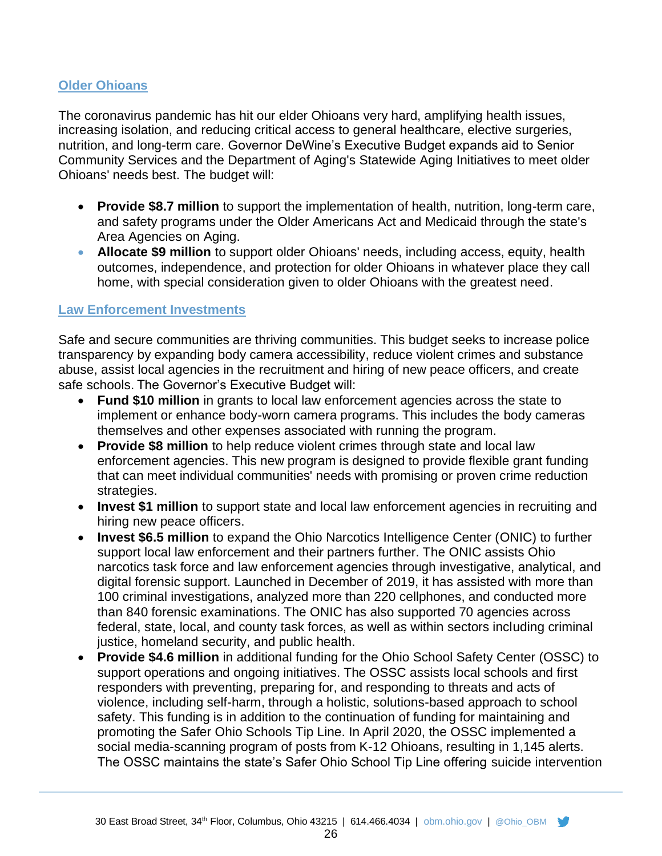#### **Older Ohioans**

The coronavirus pandemic has hit our elder Ohioans very hard, amplifying health issues, increasing isolation, and reducing critical access to general healthcare, elective surgeries, nutrition, and long-term care. Governor DeWine's Executive Budget expands aid to Senior Community Services and the Department of Aging's Statewide Aging Initiatives to meet older Ohioans' needs best. The budget will:

- **Provide \$8.7 million** to support the implementation of health, nutrition, long-term care, and safety programs under the Older Americans Act and Medicaid through the state's Area Agencies on Aging.
- **Allocate \$9 million** to support older Ohioans' needs, including access, equity, health outcomes, independence, and protection for older Ohioans in whatever place they call home, with special consideration given to older Ohioans with the greatest need.

#### **Law Enforcement Investments**

Safe and secure communities are thriving communities. This budget seeks to increase police transparency by expanding body camera accessibility, reduce violent crimes and substance abuse, assist local agencies in the recruitment and hiring of new peace officers, and create safe schools. The Governor's Executive Budget will:

- **Fund \$10 million** in grants to local law enforcement agencies across the state to implement or enhance body-worn camera programs. This includes the body cameras themselves and other expenses associated with running the program.
- **Provide \$8 million** to help reduce violent crimes through state and local law enforcement agencies. This new program is designed to provide flexible grant funding that can meet individual communities' needs with promising or proven crime reduction strategies.
- **Invest \$1 million** to support state and local law enforcement agencies in recruiting and hiring new peace officers.
- **Invest \$6.5 million** to expand the Ohio Narcotics Intelligence Center (ONIC) to further support local law enforcement and their partners further. The ONIC assists Ohio narcotics task force and law enforcement agencies through investigative, analytical, and digital forensic support. Launched in December of 2019, it has assisted with more than 100 criminal investigations, analyzed more than 220 cellphones, and conducted more than 840 forensic examinations. The ONIC has also supported 70 agencies across federal, state, local, and county task forces, as well as within sectors including criminal justice, homeland security, and public health.
- **Provide \$4.6 million** in additional funding for the Ohio School Safety Center (OSSC) to support operations and ongoing initiatives. The OSSC assists local schools and first responders with preventing, preparing for, and responding to threats and acts of violence, including self-harm, through a holistic, solutions-based approach to school safety. This funding is in addition to the continuation of funding for maintaining and promoting the Safer Ohio Schools Tip Line. In April 2020, the OSSC implemented a social media-scanning program of posts from K-12 Ohioans, resulting in 1,145 alerts. The OSSC maintains the state's Safer Ohio School Tip Line offering suicide intervention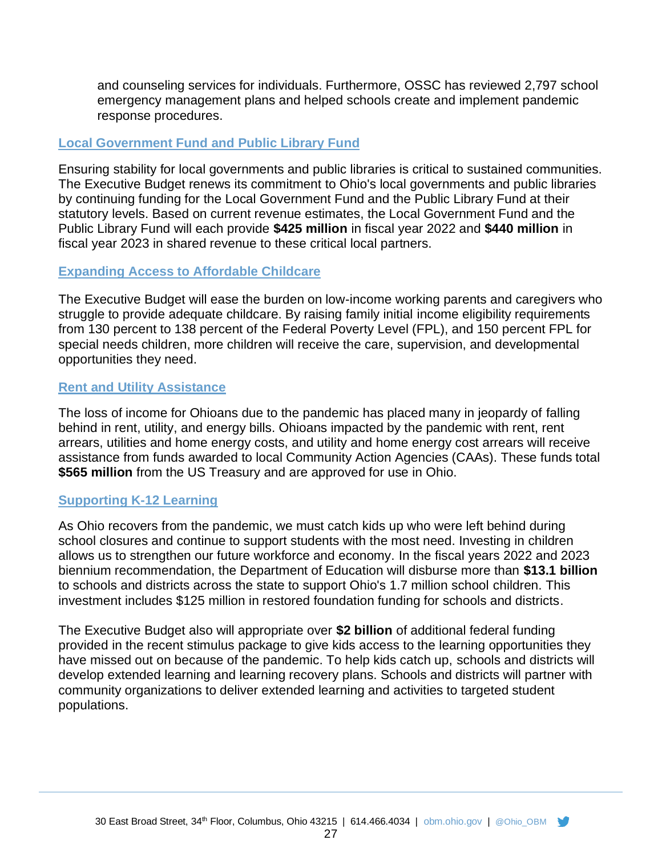and counseling services for individuals. Furthermore, OSSC has reviewed 2,797 school emergency management plans and helped schools create and implement pandemic response procedures.

#### **Local Government Fund and Public Library Fund**

Ensuring stability for local governments and public libraries is critical to sustained communities. The Executive Budget renews its commitment to Ohio's local governments and public libraries by continuing funding for the Local Government Fund and the Public Library Fund at their statutory levels. Based on current revenue estimates, the Local Government Fund and the Public Library Fund will each provide **\$425 million** in fiscal year 2022 and **\$440 million** in fiscal year 2023 in shared revenue to these critical local partners.

#### **Expanding Access to Affordable Childcare**

The Executive Budget will ease the burden on low-income working parents and caregivers who struggle to provide adequate childcare. By raising family initial income eligibility requirements from 130 percent to 138 percent of the Federal Poverty Level (FPL), and 150 percent FPL for special needs children, more children will receive the care, supervision, and developmental opportunities they need.

#### **Rent and Utility Assistance**

The loss of income for Ohioans due to the pandemic has placed many in jeopardy of falling behind in rent, utility, and energy bills. Ohioans impacted by the pandemic with rent, rent arrears, utilities and home energy costs, and utility and home energy cost arrears will receive assistance from funds awarded to local Community Action Agencies (CAAs). These funds total **\$565 million** from the US Treasury and are approved for use in Ohio.

#### **Supporting K-12 Learning**

As Ohio recovers from the pandemic, we must catch kids up who were left behind during school closures and continue to support students with the most need. Investing in children allows us to strengthen our future workforce and economy. In the fiscal years 2022 and 2023 biennium recommendation, the Department of Education will disburse more than **\$13.1 billion** to schools and districts across the state to support Ohio's 1.7 million school children. This investment includes \$125 million in restored foundation funding for schools and districts.

The Executive Budget also will appropriate over **\$2 billion** of additional federal funding provided in the recent stimulus package to give kids access to the learning opportunities they have missed out on because of the pandemic. To help kids catch up, schools and districts will develop extended learning and learning recovery plans. Schools and districts will partner with community organizations to deliver extended learning and activities to targeted student populations.

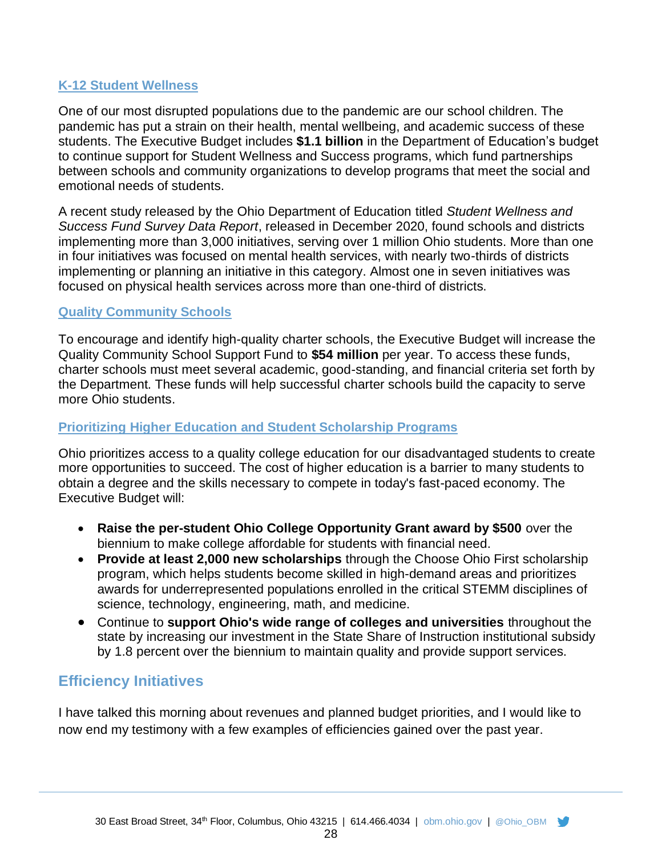## **K-12 Student Wellness**

One of our most disrupted populations due to the pandemic are our school children. The pandemic has put a strain on their health, mental wellbeing, and academic success of these students. The Executive Budget includes **\$1.1 billion** in the Department of Education's budget to continue support for Student Wellness and Success programs, which fund partnerships between schools and community organizations to develop programs that meet the social and emotional needs of students.

A recent study released by the Ohio Department of Education titled *Student Wellness and Success Fund Survey Data Report*, released in December 2020, found schools and districts implementing more than 3,000 initiatives, serving over 1 million Ohio students. More than one in four initiatives was focused on mental health services, with nearly two-thirds of districts implementing or planning an initiative in this category. Almost one in seven initiatives was focused on physical health services across more than one-third of districts.

#### **Quality Community Schools**

To encourage and identify high-quality charter schools, the Executive Budget will increase the Quality Community School Support Fund to **\$54 million** per year. To access these funds, charter schools must meet several academic, good-standing, and financial criteria set forth by the Department. These funds will help successful charter schools build the capacity to serve more Ohio students.

#### **Prioritizing Higher Education and Student Scholarship Programs**

Ohio prioritizes access to a quality college education for our disadvantaged students to create more opportunities to succeed. The cost of higher education is a barrier to many students to obtain a degree and the skills necessary to compete in today's fast-paced economy. The Executive Budget will:

- **Raise the per-student Ohio College Opportunity Grant award by \$500** over the biennium to make college affordable for students with financial need.
- **Provide at least 2,000 new scholarships** through the Choose Ohio First scholarship program, which helps students become skilled in high-demand areas and prioritizes awards for underrepresented populations enrolled in the critical STEMM disciplines of science, technology, engineering, math, and medicine.
- Continue to **support Ohio's wide range of colleges and universities** throughout the state by increasing our investment in the State Share of Instruction institutional subsidy by 1.8 percent over the biennium to maintain quality and provide support services.

## **Efficiency Initiatives**

I have talked this morning about revenues and planned budget priorities, and I would like to now end my testimony with a few examples of efficiencies gained over the past year.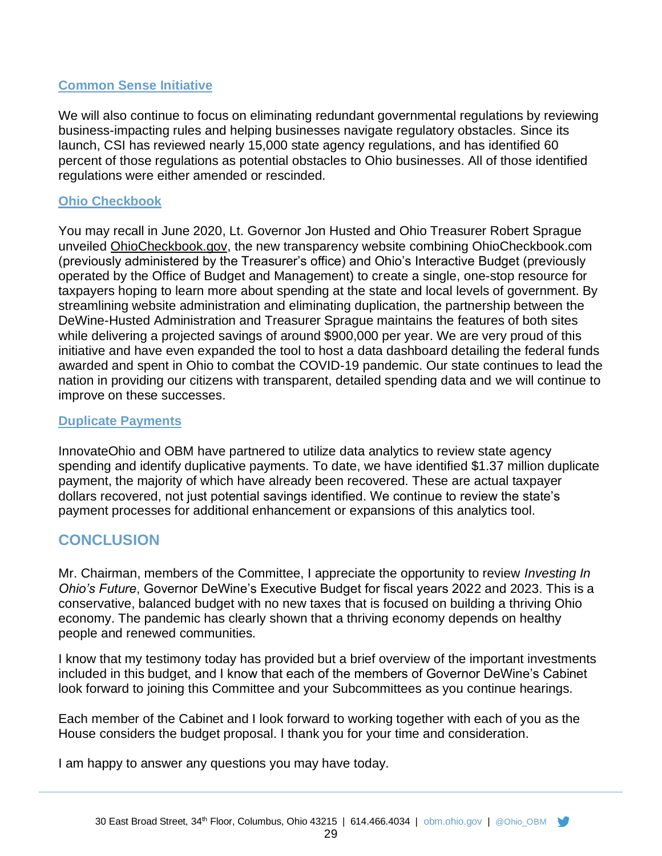## **Common Sense Initiative**

We will also continue to focus on eliminating redundant governmental regulations by reviewing business-impacting rules and helping businesses navigate regulatory obstacles. Since its launch, CSI has reviewed nearly 15,000 state agency regulations, and has identified 60 percent of those regulations as potential obstacles to Ohio businesses. All of those identified regulations were either amended or rescinded.

#### **Ohio Checkbook**

You may recall in June 2020, Lt. Governor Jon Husted and Ohio Treasurer Robert Sprague unveiled [OhioCheckbook.gov,](https://lnks.gd/l/eyJhbGciOiJIUzI1NiJ9.eyJidWxsZXRpbl9saW5rX2lkIjoxMDAsInVyaSI6ImJwMjpjbGljayIsImJ1bGxldGluX2lkIjoiMjAyMDA2MzAuMjM2OTM1NzEiLCJ1cmwiOiJodHRwczovL29oaW9jaGVja2Jvb2suZ292LyJ9.kEjQ4awcgoXECRhqkiN3cZdC1teGE2FSD8Y1JE-xQys/s/1123750406/br/80472181676-l) the new transparency website combining OhioCheckbook.com (previously administered by the Treasurer's office) and Ohio's Interactive Budget (previously operated by the Office of Budget and Management) to create a single, one-stop resource for taxpayers hoping to learn more about spending at the state and local levels of government. By streamlining website administration and eliminating duplication, the partnership between the DeWine-Husted Administration and Treasurer Sprague maintains the features of both sites while delivering a projected savings of around \$900,000 per year. We are very proud of this initiative and have even expanded the tool to host a data dashboard detailing the federal funds awarded and spent in Ohio to combat the COVID-19 pandemic. Our state continues to lead the nation in providing our citizens with transparent, detailed spending data and we will continue to improve on these successes.

#### **Duplicate Payments**

InnovateOhio and OBM have partnered to utilize data analytics to review state agency spending and identify duplicative payments. To date, we have identified \$1.37 million duplicate payment, the majority of which have already been recovered. These are actual taxpayer dollars recovered, not just potential savings identified. We continue to review the state's payment processes for additional enhancement or expansions of this analytics tool.

## **CONCLUSION**

Mr. Chairman, members of the Committee, I appreciate the opportunity to review *Investing In Ohio's Future*, Governor DeWine's Executive Budget for fiscal years 2022 and 2023. This is a conservative, balanced budget with no new taxes that is focused on building a thriving Ohio economy. The pandemic has clearly shown that a thriving economy depends on healthy people and renewed communities.

I know that my testimony today has provided but a brief overview of the important investments included in this budget, and I know that each of the members of Governor DeWine's Cabinet look forward to joining this Committee and your Subcommittees as you continue hearings.

Each member of the Cabinet and I look forward to working together with each of you as the House considers the budget proposal. I thank you for your time and consideration.

I am happy to answer any questions you may have today.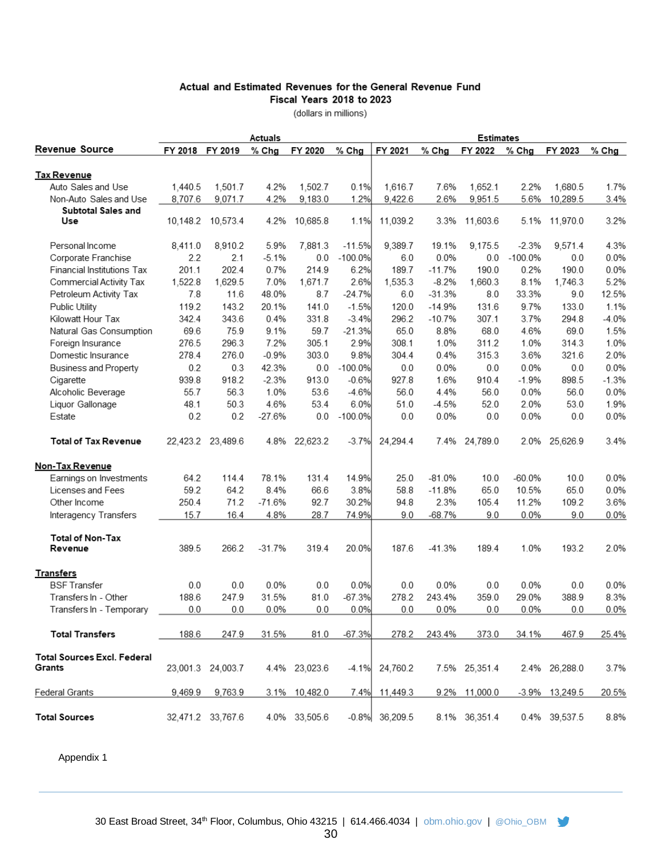#### Actual and Estimated Revenues for the General Revenue Fund Fiscal Years 2018 to 2023

(dollars in millions)

|                                         |                 |                   | Actuals  |               |           |                   |          | <b>Estimates</b> |           |                   |         |
|-----------------------------------------|-----------------|-------------------|----------|---------------|-----------|-------------------|----------|------------------|-----------|-------------------|---------|
| <b>Revenue Source</b>                   | FY 2018 FY 2019 |                   | % Chg    | FY 2020       | % Chg     | FY 2021           | $%$ Chg  | FY 2022          | $%$ Chg   | FY 2023           | $%$ Chg |
| <u>Tax Revenue</u>                      |                 |                   |          |               |           |                   |          |                  |           |                   |         |
| Auto Sales and Use                      | 1,440.5         | 1,501.7           | 4.2%     | 1,502.7       | 0.1%      | 1,616.7           | 7.6%     | 1,652.1          | 2.2%      | 1,680.5           | 1.7%    |
| Non-Auto Sales and Use                  | 8,707.6         | 9,071.7           | 4.2%     | 9,183.0       | 1.2%      | 9,422.6           | 2.6%     | 9,951.5          | 5.6%      | 10,289.5          | 3.4%    |
| <b>Subtotal Sales and</b>               |                 |                   |          |               |           |                   |          |                  |           |                   |         |
| Use                                     |                 | 10,148.2 10,573.4 | 4.2%     | 10,685.8      | 1.1%      | 11,039.2          | 3.3%     | 11,603.6         | 5.1%      | 11,970.0          | 3.2%    |
|                                         |                 |                   |          |               |           |                   |          |                  |           |                   |         |
| Personal Income                         | 8,411.0         | 8,910.2           | 5.9%     | 7.881.3       | $-11.5%$  | 9,389.7           | 19.1%    | 9.175.5          | $-2.3%$   | 9,571.4           | 4.3%    |
| Corporate Franchise                     | 2.2             | 2.1               | $-5.1%$  | 0.0           | $-100.0%$ | 6.0               | 0.0%     | 0.0              | $-100.0%$ | 0.0               | 0.0%    |
| Financial Institutions Tax              | 201.1           | 202.4             | 0.7%     | 214.9         | 6.2%      | 189.7             | $-11.7%$ | 190.0            | 0.2%      | 190.0             | 0.0%    |
| Commercial Activity Tax                 | 1,522.8         | 1,629.5           | 7.0%     | 1,671.7       | 2.6%      | 1,535.3           | $-8.2%$  | 1,660.3          | 8.1%      | 1,746.3           | 5.2%    |
| Petroleum Activity Tax                  | 7.8             | 11.6              | 48.0%    | 8.7           | $-24.7%$  | 6.0               | $-31.3%$ | 8.0              | 33.3%     | 9.0               | 12.5%   |
| Public Utility                          | 119.2           | 143.2             | 20.1%    | 141.0         | $-1.5%$   | 120.0             | $-14.9%$ | 131.6            | 9.7%      | 133.0             | 1.1%    |
| Kilowatt Hour Tax                       | 342.4           | 343.6             | 0.4%     | 331.8         | $-3.4%$   | 296.2             | $-10.7%$ | 307.1            | 3.7%      | 294.8             | $-4.0%$ |
| Natural Gas Consumption                 | 69.6            | 75.9              | 9.1%     | 59.7          | $-21.3%$  | 65.0              | 8.8%     | 68.0             | 4.6%      | 69.0              | 1.5%    |
| Foreign Insurance                       | 276.5           | 296.3             | 7.2%     | 305.1         | 2.9%      | 308.1             | 1.0%     | 311.2            | 1.0%      | 314.3             | 1.0%    |
| Domestic Insurance                      | 278.4           | 276.0             | $-0.9%$  | 303.0         | 9.8%      | 304.4             | 0.4%     | 315.3            | 3.6%      | 321.6             | 2.0%    |
| <b>Business and Property</b>            | 0.2             | 0.3               | 42.3%    | 0.0           | $-100.0%$ | 0.0               | 0.0%     | 0.0              | 0.0%      | 0.0               | 0.0%    |
| Cigarette                               | 939.8           | 918.2             | $-2.3%$  | 913.0         | $-0.6%$   | 927.8             | 1.6%     | 910.4            | $-1.9%$   | 898.5             | $-1.3%$ |
| Alcoholic Beverage                      | 55.7            | 56.3              | 1.0%     | 53.6          | $-4.6%$   | 56.0              | 4.4%     | 56.0             | 0.0%      | 56.0              | 0.0%    |
| Liquor Gallonage                        | 48.1            | 50.3              | 4.6%     | 53.4          | 6.0%      | 51.0              | -4.5%    | 52.0             | 2.0%      | 53.0              | 1.9%    |
| Estate                                  | 0.2             | 0.2               | $-27.6%$ | 0.0           | $-100.0%$ | 0.0               | 0.0%     | 0.0              | 0.0%      | 0.0               | 0.0%    |
|                                         |                 |                   |          |               |           |                   |          |                  |           |                   |         |
| <b>Total of Tax Revenue</b>             |                 | 22,423.2 23,489.6 | 4.8%     | 22,623.2      | $-3.7%$   | 24,294.4          | 7.4%     | 24,789.0         |           | 2.0% 25,626.9     | 3.4%    |
| Non-Tax Revenue                         |                 |                   |          |               |           |                   |          |                  |           |                   |         |
| Earnings on Investments                 | 64.2            | 114.4             | 78.1%    | 131.4         | 14.9%     | 25.0              | $-81.0%$ | 10.0             | $-60.0%$  | 10.0              | 0.0%    |
| Licenses and Fees                       | 59.2            | 64.2              | 8.4%     | 66.6          | 3.8%      | 58.8              | $-11.8%$ | 65.0             | 10.5%     | 65.0              | 0.0%    |
| Other Income                            | 250.4           | 71.2              | $-71.6%$ | 92.7          | 30.2%     | 94.8              | 2.3%     | 105.4            | 11.2%     | 109.2             | 3.6%    |
| Interagency Transfers                   | 15.7            | 16.4              | 4.8%     | 28.7          | 74.9%     | 9.0               | $-68.7%$ | 9.0              | 0.0%      | 9.0               | 0.0%    |
| <b>Total of Non-Tax</b>                 |                 |                   |          |               |           |                   |          |                  |           |                   |         |
| Revenue                                 | 389.5           | 266.2             | $-31.7%$ | 319.4         | 20.0%     | 187.6             | $-41.3%$ | 189.4            | 1.0%      | 193.2             | 2.0%    |
|                                         |                 |                   |          |               |           |                   |          |                  |           |                   |         |
| <b>Transfers</b><br><b>BSF Transfer</b> |                 |                   |          |               |           |                   | 0.0%     |                  |           |                   |         |
|                                         | 0.0             | 0.0               | 0.0%     | 0.0           | 0.0%      | 0.0               |          | 0.0              | 0.0%      | 0.0               | 0.0%    |
| Transfers In - Other                    | 188.6           | 247.9             | 31.5%    | 81.0          | $-67.3%$  | 278.2             | 243.4%   | 359.0            | 29.0%     | 388.9             | 8.3%    |
| Transfers In - Temporary                | 0.0             | 0.0               | 0.0%     | 0.0           | 0.0%      | 0.0               | 0.0%     | 0.0              | 0.0%      | 0.0               | 0.0%    |
| <b>Total Transfers</b>                  | 188.6           | 247.9             | 31.5%    | 81.0          | $-67.3%$  | 278.2             | 243.4%   | 373.0            | 34.1%     | 467.9             | 25.4%   |
| Total Sources Excl. Federal             |                 |                   |          |               |           |                   |          |                  |           |                   |         |
| Grants                                  |                 | 23,001.3 24,003.7 |          | 4.4% 23,023.6 | $-4.1%$   | 24,760.2          |          | 7.5% 25,351.4    |           | 2.4% 26,288.0     | 3.7%    |
| Federal Grants                          | 9,469.9         | 9,763.9           |          | 3.1% 10,482.0 | 7.4%      | 11,449.3          |          | 9.2% 11,000.0    |           | $-3.9\%$ 13,249.5 | 20.5%   |
| <b>Total Sources</b>                    |                 |                   |          |               |           | $-0.8\%$ 36,209.5 |          |                  |           |                   |         |
|                                         |                 | 32,471.2 33,767.6 |          | 4.0% 33,505.6 |           |                   |          | 8.1% 36,351.4    |           | 0.4% 39,537.5     | 8.8%    |

Appendix 1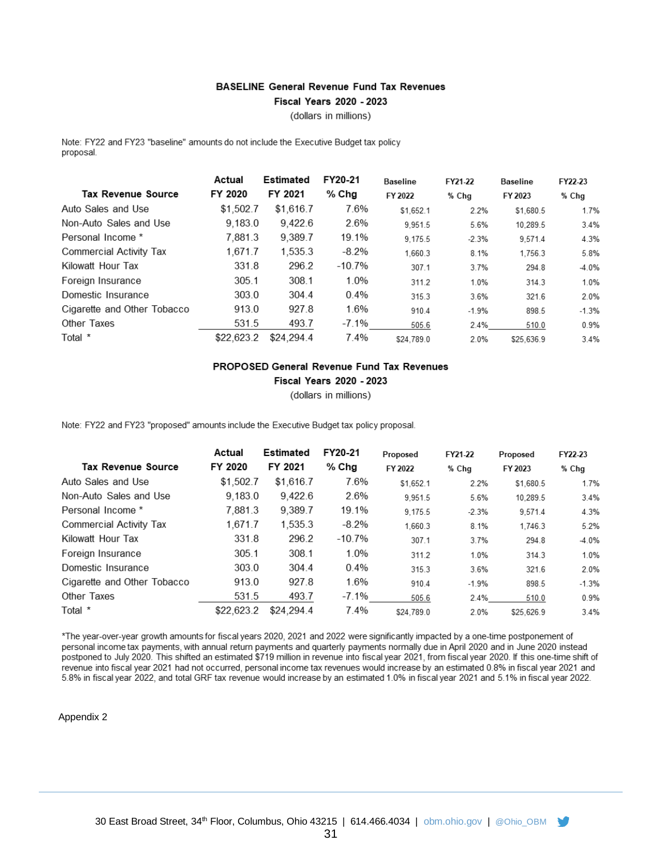#### **BASELINE General Revenue Fund Tax Revenues**

Fiscal Years 2020 - 2023

(dollars in millions)

Note: FY22 and FY23 "baseline" amounts do not include the Executive Budget tax policy proposal.

|                             | Actual     | Estimated  | FY20-21  | <b>Baseline</b> | FY21-22 | <b>Baseline</b> | FY22-23 |
|-----------------------------|------------|------------|----------|-----------------|---------|-----------------|---------|
| <b>Tax Revenue Source</b>   | FY 2020    | FY 2021    | $%$ Chg  | FY 2022         | % Chg   | FY 2023         | % Chg   |
| Auto Sales and Use          | \$1.502.7  | \$1,616.7  | 7.6%     | \$1.652.1       | 2.2%    | \$1.680.5       | 1.7%    |
| Non-Auto Sales and Use      | 9.183.0    | 9.422.6    | 2.6%     | 9.951.5         | 5.6%    | 10.289.5        | 3.4%    |
| Personal Income *           | 7.881.3    | 9.389.7    | 19.1%    | 9.175.5         | $-2.3%$ | 9,571.4         | 4.3%    |
| Commercial Activity Tax     | 1.671.7    | 1.535.3    | $-8.2%$  | 1,660.3         | 8.1%    | 1,756.3         | 5.8%    |
| Kilowatt Hour Tax           | 331.8      | 296.2      | -10.7%   | 307.1           | 3.7%    | 294.8           | $-4.0%$ |
| Foreign Insurance           | 305.1      | 308.1      | 1.0%     | 311.2           | 1.0%    | 314.3           | 1.0%    |
| Domestic Insurance          | 303.0      | 304.4      | $0.4\%$  | 315.3           | 3.6%    | 321.6           | 2.0%    |
| Cigarette and Other Tobacco | 913.0      | 927.8      | 1.6%     | 910.4           | $-1.9%$ | 898.5           | $-1.3%$ |
| Other Taxes                 | 531.5      | 493.7      | $-7.1\%$ | 505.6           | 2.4%    | 510.0           | 0.9%    |
| Total *                     | \$22,623.2 | \$24,294.4 | 7.4%     | \$24.789.0      | 2.0%    | \$25.636.9      | 3.4%    |

#### PROPOSED General Revenue Fund Tax Revenues Fiscal Years 2020 - 2023

(dollars in millions)

Note: FY22 and FY23 "proposed" amounts include the Executive Budget tax policy proposal.

|                             | Actual     | Estimated  | FY20-21  | Proposed   | FY21-22 | Proposed   | FY22-23 |
|-----------------------------|------------|------------|----------|------------|---------|------------|---------|
| <b>Tax Revenue Source</b>   | FY 2020    | FY 2021    | $%$ Chg  | FY 2022    | % Chg   | FY 2023    | % Chg   |
| Auto Sales and Use          | \$1,502.7  | \$1,616.7  | 7.6%     | \$1.652.1  | 2.2%    | \$1.680.5  | 1.7%    |
| Non-Auto Sales and Use      | 9.183.0    | 9.422.6    | 2.6%     | 9.951.5    | 5.6%    | 10.289.5   | 3.4%    |
| Personal Income *           | 7.881.3    | 9,389.7    | 19.1%    | 9.175.5    | $-2.3%$ | 9.571.4    | 4.3%    |
| Commercial Activity Tax     | 1.671.7    | 1,535.3    | $-8.2%$  | 1.660.3    | 8.1%    | 1.746.3    | 5.2%    |
| Kilowatt Hour Tax           | 331.8      | 296.2      | $-10.7%$ | 307.1      | 3.7%    | 294.8      | -4.0%   |
| Foreign Insurance           | 305.1      | 308.1      | 1.0%     | 311.2      | 1.0%    | 314.3      | 1.0%    |
| Domestic Insurance          | 303.0      | 304.4      | $0.4\%$  | 315.3      | 3.6%    | 321.6      | 2.0%    |
| Cigarette and Other Tobacco | 913.0      | 927.8      | 1.6%     | 910.4      | $-1.9%$ | 898.5      | $-1.3%$ |
| Other Taxes                 | 531.5      | 493.7      | $-7.1\%$ | 505.6      | 2.4%    | 510.0      | 0.9%    |
| Total *                     | \$22,623.2 | \$24.294.4 | 7.4%     | \$24.789.0 | 2.0%    | \$25.626.9 | 3.4%    |

\*The year-over-year growth amounts for fiscal years 2020, 2021 and 2022 were significantly impacted by a one-time postponement of personal income tax payments, with annual return payments and quarterly payments normally due in April 2020 and in June 2020 instead postponed to July 2020. This shifted an estimated \$719 million in revenue into fiscal year 2021, from fiscal year 2020. If this one-time shift of revenue into fiscal year 2021 had not occurred, personal income tax revenues would increase by an estimated 0.8% in fiscal year 2021 and 5.8% in fiscal year 2022, and total GRF tax revenue would increase by an estimated 1.0% in fiscal year 2021 and 5.1% in fiscal year 2022.

#### Appendix 2